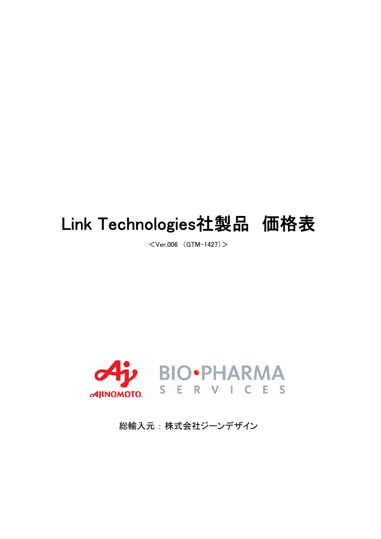## Link Technologies社製品 価格表

 $<$ Ver.006 (GTM-1427) $>$ 



総輸入元 : 株式会社ジーンデザイン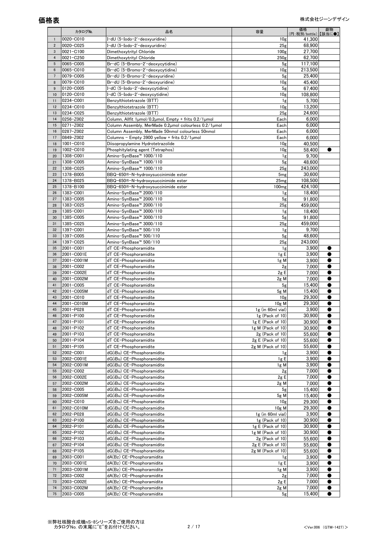|                 | カタログNo.                  | 品名                                                                                                         | 容量                              | 価格<br>(円:税別/bottle)【該当に●】 | 劇物 |
|-----------------|--------------------------|------------------------------------------------------------------------------------------------------------|---------------------------------|---------------------------|----|
|                 | 0020-C010                | I−dU (5-Iodo−2'−deoxyuridine)                                                                              | 10 <sub>g</sub>                 | 41,300                    |    |
| $\overline{2}$  | 0020-C025                | I-dU (5-Iodo-2'-deoxyuridine)                                                                              | 25 <sub>g</sub>                 | 68.900                    |    |
| 3               | 0021-C100                | Dimethoxytrityl Chloride                                                                                   | 100 <sub>g</sub>                | 27,700                    |    |
| $\overline{4}$  | 0021-C250                | Dimethoxytrityl Chloride                                                                                   | 250 <sub>g</sub>                | 62,700                    |    |
| $5\,$           | 0065-C005                | Br-dC (5-Bromo-2'-deoxycytidine)                                                                           | 5 <sub>g</sub>                  | 117,100                   |    |
| $6\phantom{.}6$ | 0065-C010                | Br-dC (5-Bromo-2'-deoxycytidine)                                                                           | 10g                             | 213,500                   |    |
| $7\phantom{.0}$ | 0079-C005                | Br-dU (5-Bromo-2'-deoxyuridine)                                                                            | 5 <sub>g</sub>                  | 25,400                    |    |
| 8               | 0079-C010                | Br-dU (5-Bromo-2'-deoxyuridine)                                                                            | 10g                             | 45,400                    |    |
| 9               | 0120-C005                | I-dC (5-Iodo-2'-deoxycytidine)                                                                             | 5 <sub>g</sub>                  | 67,400                    |    |
| 10              | 0120-C010                | I-dC (5-Iodo-2'-deoxycytidine)                                                                             | 10 <sub>g</sub>                 | 108,800                   |    |
| 11              | 0234-C001                | Benzylthiotetrazole (BTT)                                                                                  | 1g                              | 5,700                     |    |
| 12              | 0234-C010                | Benzylthiotetrazole (BTT)                                                                                  | 10g                             | 13,200                    |    |
| 13              | 0234-C025                | Benzylthiotetrazole (BTT)                                                                                  | 25 <sub>g</sub>                 | 24.600                    |    |
| 14<br>15        | 0256-Z002<br>0271-Z002   | Column, Allfit 1umol/0.2umol, Empty + frits 0.2/1umol                                                      | Each                            | 6,000                     |    |
| 16              | 0287-Z002                | Column Assembly, MerMade 0.2µmol colourless 0.2/1µmol<br>Column Assembly, MerMade 50nmol colourless 50nmol | Each<br>Each                    | 6,000<br>6,000            |    |
| 17              | 0849-Z002                | Columns – Empty 3900 yellow + frits 0.2/1µmol                                                              | Each                            | 6.000                     |    |
| 18              | 1001-C010                | Diisopropylamine Hydrotetrazolide                                                                          | 10g                             | 40,500                    |    |
| 19              | 1002-C010                | Phosphitylating agent (Tetraphos)                                                                          | 10 <sub>g</sub>                 | 58,400                    |    |
| 20              | 1308-C001                | Amino−SynBase™ 1000/110                                                                                    | 1g                              | 9,700                     |    |
| 21              | 1308-C005                | Amino−SynBase™ 1000/110                                                                                    | 5 <sub>g</sub>                  | 48,600                    |    |
| 22              | 1308-C025                | Amino-SynBase™ 1000/110                                                                                    | 25g                             | 243,000                   |    |
| 23              | 1378-B005                | BBQ-650®-N-hydroxysuccinimide ester                                                                        | 5 <sub>mg</sub>                 | 30,600                    |    |
| 24              | 1378-B025                | BBQ-650®-N-hydroxysuccinimide ester                                                                        | 25mg                            | 108,500                   |    |
| 25              | 1378-B100                | BBQ-650®-N-hydroxysuccinimide ester                                                                        | 100 <sub>mg</sub>               | 424,100                   |    |
| 26              | 1383-C001                | Amino−SynBase™ 2000/110                                                                                    | 1g                              | 18,400                    |    |
| 27              | 1383-C005                | Amino-SynBase™ 2000/110                                                                                    | 5 <sub>g</sub>                  | 91,800                    |    |
| 28              | 1383-C025                | Amino-SynBase™ 2000/110                                                                                    | 25 <sub>g</sub>                 | 459,000                   |    |
| 29              | 1385-C001                | Amino−SynBase™ 3000/110                                                                                    | 1g                              | 18,400                    |    |
| 30              | 1385-C005                | Amino−SynBase™ 3000/110                                                                                    | 5 <sub>g</sub>                  | 91,800                    |    |
| 31              | 1385-C025                | Amino−SynBase™ 3000/110                                                                                    | 25 <sub>g</sub>                 | 459,000                   |    |
| 32              | 1397-C001                | Amino-SynBase™ 500/110                                                                                     | 1g                              | 9,700                     |    |
| 33              | 1397-C005                | Amino-SynBase™ 500/110                                                                                     | 5 <sub>g</sub>                  | 48,600                    |    |
| 34              | 1397-C025                | Amino-SynBase™ 500/110                                                                                     | 25g                             | 243,000                   |    |
| 35              | 2001-C001                | dT CE-Phosphoramidite                                                                                      | 1g                              | 3,900                     |    |
| 36              | 2001-C001E<br>2001-C001M | dT CE-Phosphoramidite                                                                                      | 1gE                             | 3,900<br>3,900            |    |
| 37<br>38        | 2001-C002                | dT CE-Phosphoramidite<br>dT CE-Phosphoramidite                                                             | 1g M<br>2 <sub>g</sub>          | 7,000                     |    |
| 39              | 2001-C002E               | dT CE-Phosphoramidite                                                                                      | 2gE                             | 7,000                     |    |
| 40              | 2001-C002M               | dT CE-Phosphoramidite                                                                                      | $2g$ M                          | 7,000                     |    |
| 41              | 2001-C005                | dT CE-Phosphoramidite                                                                                      | 5 <sub>g</sub>                  | 15.400                    |    |
| 42              | 2001-C005M               | dT CE-Phosphoramidite                                                                                      | $5g$ M                          | 15,400                    |    |
| 43              | 2001-C010                | dT CE-Phosphoramidite                                                                                      | 10g                             | 29,300                    |    |
| 44              | 2001-C010M               | dT CE-Phosphoramidite                                                                                      | $10g$ M                         | 29,300                    |    |
| 45              | 2001-P028                | dT CE-Phosphoramidite                                                                                      | $1g$ (in 60ml vial)             | 3.900                     | 0  |
| 46              | 2001-P100                | dT CE-Phosphoramidite                                                                                      | 1g (Pack of 10)                 | 30,900                    |    |
| 47              | 2001-P101                | dT CE-Phosphoramidite                                                                                      | $1g \mathsf{E}$ (Pack of $10$ ) | 30,900                    |    |
| 48              | 2001-P102                | dT CE-Phosphoramidite                                                                                      | 1g M (Pack of $10$ )            | 30,900                    |    |
| 49              | 2001-P103                | dT CE-Phosphoramidite                                                                                      | 2g (Pack of 10)                 | 55.600                    |    |
| 50              | 2001-P104                | dT CE-Phosphoramidite                                                                                      | 2g E (Pack of 10)               | 55,600                    |    |
| 51              | 2001-P105                | dT CE-Phosphoramidite                                                                                      | $2g$ M (Pack of 10)             | 55,600                    |    |
| 52              | 2002-C001                | dG(iBu) CE-Phosphoramidite                                                                                 | 1g                              | 3,900                     |    |
| 53              | 2002-C001E               | dG(iBu) CE-Phosphoramidite                                                                                 | 1g E                            | 3,900                     |    |
| 54              | 2002-C001M               | dG(iBu) CE-Phosphoramidite                                                                                 | $1g$ M                          | 3,900                     |    |
| 55              | 2002-C002                | dG(iBu) CE-Phosphoramidite                                                                                 | 2g                              | 7,000                     |    |
| 56              | 2002-C002E               | dG(iBu) CE-Phosphoramidite                                                                                 | 2gE                             | 7,000                     |    |
| 57              | 2002-C002M               | dG(iBu) CE-Phosphoramidite                                                                                 | $2g$ M                          | 7,000                     |    |
| 58              | 2002-C005                | dG(iBu) CE-Phosphoramidite                                                                                 | 5g                              | 15,400                    |    |
| 59              | 2002-C005M               | dG(iBu) CE-Phosphoramidite                                                                                 | 5g M                            | 15.400                    |    |
| 60              | 2002-C010                | dG(iBu) CE-Phosphoramidite                                                                                 | 10g                             | 29,300                    |    |
| 61<br>62        | 2002-C010M<br>2002-P028  | dG(iBu) CE-Phosphoramidite<br>dG(iBu) CE-Phosphoramidite                                                   | $10g$ M<br>1g (in 60ml vial)    | 29,300<br>3,900           |    |
| 63              | 2002-P100                | dG(iBu) CE-Phosphoramidite                                                                                 | $1g$ (Pack of $10$ )            | 30,900                    |    |
| 64              | 2002-P101                | dG(iBu) CE-Phosphoramidite                                                                                 | 1g E (Pack of 10)               | 30,900                    |    |
| 65              | 2002-P102                | dG(iBu) CE-Phosphoramidite                                                                                 | 1g M (Pack of 10)               | 30,900                    |    |
| 66              | 2002-P103                | dG(iBu) CE-Phosphoramidite                                                                                 | 2g (Pack of 10)                 | 55,600                    |    |
| 67              | 2002-P104                | dG(iBu) CE-Phosphoramidite                                                                                 | 2g E (Pack of 10)               | 55,600                    |    |
| 68              | 2002-P105                | dG(iBu) CE-Phosphoramidite                                                                                 | $2g$ M (Pack of 10)             | 55,600                    |    |
| 69              | 2003-C001                | dA(Bz) CE-Phosphoramidite                                                                                  | 1g                              | 3,900                     |    |
| 70              | 2003-C001E               | dA(Bz) CE-Phosphoramidite                                                                                  | 1gE                             | 3,900                     |    |
| 71              | 2003-C001M               | dA(Bz) CE-Phosphoramidite                                                                                  | 1g M                            | 3,900                     |    |
| 72              | 2003-C002                | dA(Bz) CE-Phosphoramidite                                                                                  | 2g                              | 7,000                     |    |
| 73              | 2003-C002E               | dA(Bz) CE-Phosphoramidite                                                                                  | 2gE                             | 7,000                     |    |
| 74              | 2003-C002M               | dA(Bz) CE-Phosphoramidite                                                                                  | $2g$ M                          | 7,000                     |    |
| 75              | 2003-C005                | dA(Bz) CE-Phosphoramidite                                                                                  | 5 <sub>g</sub>                  | 15,400                    |    |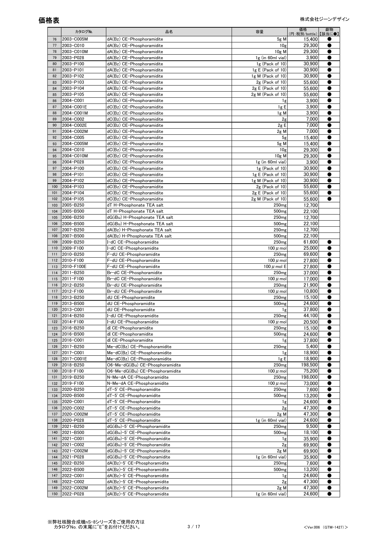|            | カタログNo.                 | 品名                                                          | 容量                                     | 価格<br>(円:税別/bottle)【該当に●】 | 劇物        |
|------------|-------------------------|-------------------------------------------------------------|----------------------------------------|---------------------------|-----------|
| 76         | 2003-C005M              | dA(Bz) CE-Phosphoramidite                                   | $5g$ M                                 | 15,400                    |           |
| 77         | 2003-C010               | dA(Bz) CE-Phosphoramidite                                   | 10g                                    | 29,300                    |           |
| 78         | 2003-C010M              | dA(Bz) CE-Phosphoramidite                                   | $10g$ M                                | 29,300                    |           |
| 79         | 2003-P028               | dA(Bz) CE-Phosphoramidite                                   | $1g$ (in 60ml vial)                    | 3,900                     |           |
| 80         | 2003-P100               | dA(Bz) CE-Phosphoramidite                                   | $1g$ (Pack of $10$ )                   | 30,900                    |           |
| 81         | 2003-P101               | dA(Bz) CE-Phosphoramidite                                   | $1g \mathsf{E}$ (Pack of $10$ )        | 30.900                    |           |
| 82         | 2003-P102               | dA(Bz) CE-Phosphoramidite                                   | $1g M$ (Pack of $10$ )                 | 30,900                    |           |
| 83         | 2003-P103               | dA(Bz) CE-Phosphoramidite                                   | $2g$ (Pack of 10)                      | 55,600                    |           |
| 84         | 2003-P104               | dA(Bz) CE-Phosphoramidite                                   | $2g \text{E}$ (Pack of 10)             | 55,600                    |           |
| 85         | 2003-P105               | dA(Bz) CE-Phosphoramidite                                   | $2g$ M (Pack of 10)                    | 55,600                    |           |
| 86<br>87   | 2004-C001<br>2004-C001E | dC(Bz) CE-Phosphoramidite<br>dC(Bz) CE-Phosphoramidite      | 1g<br>1g E                             | 3,900<br>3,900            |           |
| 88         | 2004-C001M              | dC(Bz) CE-Phosphoramidite                                   | 1g M                                   | 3,900                     |           |
| 89         | 2004-C002               | dC(Bz) CE-Phosphoramidite                                   | 2g                                     | 7,000                     |           |
| 90         | 2004-C002E              | dC(Bz) CE-Phosphoramidite                                   | 2gE                                    | 7,000                     |           |
| 91         | 2004-C002M              | dC(Bz) CE-Phosphoramidite                                   | $2g$ M                                 | 7,000                     |           |
| 92         | 2004-C005               | dC(Bz) CE-Phosphoramidite                                   | 5g                                     | 15,400                    |           |
| 93         | 2004-C005M              | dC(Bz) CE-Phosphoramidite                                   | $5g$ M                                 | 15,400                    |           |
| 94         | 2004-C010               | dC(Bz) CE-Phosphoramidite                                   | 10g                                    | 29,300                    |           |
| 95         | 2004-C010M              | dC(Bz) CE-Phosphoramidite                                   | $10g$ M                                | 29,300                    |           |
| 96         | 2004-P028               | dC(Bz) CE-Phosphoramidite                                   | $1g$ (in 60ml vial)                    | 3,900                     |           |
| 97         | 2004-P100               | dC(Bz) CE-Phosphoramidite                                   | $1g$ (Pack of $10$ )                   | 30,900                    |           |
| 98         | 2004-P101               | dC(Bz) CE-Phosphoramidite                                   | $1g \mathsf{E}$ (Pack of $10$ )        | 30,900                    |           |
| 99         | 2004-P102               | dC(Bz) CE-Phosphoramidite                                   | $1g$ M (Pack of $10$ )                 | 30,900                    |           |
| 100        | 2004-P103               | dC(Bz) CE-Phosphoramidite                                   | $2g$ (Pack of 10)                      | 55,600                    |           |
| 101        | 2004-P104               | dC(Bz) CE-Phosphoramidite                                   | $2g E$ (Pack of 10)                    | 55,600                    |           |
| 102<br>103 | 2004-P105               | dC(Bz) CE-Phosphoramidite                                   | $2g$ M (Pack of 10)                    | 55,600<br>12.700          |           |
| 104        | 2005-B250<br>2005-B500  | dT H-Phosphonate TEA salt                                   | 250 <sub>mg</sub>                      | 22.100                    |           |
| 105        | 2006-B250               | dT H–Phosphonate TEA salt<br>dG(iBu) H-Phosphonate TEA salt | 500 <sub>mg</sub><br>250 <sub>mg</sub> | 12,700                    |           |
| 106        | 2006-B500               | dG(iBu) H-Phosphonate TEA salt                              | 500 <sub>mg</sub>                      | 22,100                    |           |
| 107        | 2007-B250               | dA(Bz) H-Phosphonate TEA salt                               | 250 <sub>mg</sub>                      | 12,700                    |           |
| 108        | 2007-B500               | dA(Bz) H-Phosphonate TEA salt                               | 500 <sub>mg</sub>                      | 22,100                    |           |
| 109        | 2009-B250               | l−dC CE−Phosphoramidite                                     | 250 <sub>mg</sub>                      | 61,600                    |           |
| 110        | 2009-F100               | -dC CE-Phosphoramidite                                      | 100 $\mu$ mol                          | 25,000                    |           |
| 111        | 2010-B250               | F-dU CE-Phosphoramidite                                     | 250 <sub>mg</sub>                      | 69,600                    |           |
| 112        | 2010-F100               | F-dU CE-Phosphoramidite                                     | 100 $\mu$ mol                          | 27,800                    |           |
| 113        | 2010-F100E              | F-dU CE-Phosphoramidite                                     | 100 $\mu$ mol E                        | 27,800                    |           |
| 114        | 2011-B250               | Br-dC CE-Phosphoramidite                                    | 250 <sub>mg</sub>                      | 37,000                    |           |
| 115        | 2011-F100               | Br-dC CE-Phosphoramidite                                    | 100 $\mu$ mol                          | 17,000                    |           |
| 116        | 2012-B250               | Br-dU CE-Phosphoramidite                                    | 250 <sub>mg</sub>                      | 21,900                    |           |
| 117        | 2012-F100               | Br-dU CE-Phosphoramidite                                    | 100 $\mu$ mol                          | 10.800                    | ●         |
| 118        | 2013-B250               | dU CE-Phosphoramidite                                       | 250 <sub>mg</sub>                      | 15,100                    |           |
| 119        | 2013-B500               | dU CE-Phosphoramidite                                       | 500 <sub>mg</sub>                      | 24,600                    | 0         |
| 120<br>121 | 2013-C001<br>2014-B250  | dU CE-Phosphoramidite<br>I-dU CE-Phosphoramidite            | 1g<br>250mg                            | 37,800<br>44,100          |           |
| 122        | 2014-F100               | I-dU CE-Phosphoramidite                                     | 100 $\mu$ mol                          | 20.500                    | 0         |
| 123        | 2016-B250               | dI CE-Phosphoramidite                                       | 250 <sub>mg</sub>                      | 15,100                    |           |
| 124        | 2016-B500               | dI CE-Phosphoramidite                                       | 500 <sub>mg</sub>                      | 24,600                    |           |
| 125        | 2016-C001               | dI CE-Phosphoramidite                                       | 1g                                     | 37,800                    |           |
| 126        | 2017-B250               | Me-dC(Bz) CE-Phosphoramidite                                | 250 <sub>mg</sub>                      | 5,400                     |           |
| 127        | 2017-C001               | Me-dC(Bz) CE-Phosphoramidite                                | 1g                                     | 18,900                    |           |
| 128        | 2017-C001E              | Me-dC(Bz) CE-Phosphoramidite                                | 1gE                                    | 18,900                    |           |
| 129        | 2018-B250               | O6-Me-dG(iBu) CE-Phosphoramidite                            | 250 <sub>mg</sub>                      | 198,500                   |           |
| 130        | 2018-F100               | O6-Me-dG(iBu) CE-Phosphoramidite                            | 100 $\mu$ mol                          | 75,200                    |           |
| 131        | 2019-B250               | N-Me-dA CE-Phosphoramidite                                  | 250 <sub>mg</sub>                      | 198,000                   |           |
| 132        | 2019-F100               | N-Me-dA CE-Phosphoramidite                                  | 100 $\mu$ mol                          | 73,000                    |           |
| 133        | 2020-B250               | dT-5' CE-Phosphoramidite                                    | 250 <sub>mg</sub>                      | 7,600                     |           |
| 134        | 2020-B500               | dT-5' CE-Phosphoramidite                                    | 500 <sub>mg</sub>                      | 13,200                    |           |
| 135        | 2020-C001               | dT-5' CE-Phosphoramidite                                    | 1g                                     | 24,600                    |           |
| 136        | 2020-C002               | dT-5' CE-Phosphoramidite                                    | 2g                                     | 47,300<br>47,300          |           |
| 137<br>138 | 2020-C002M<br>2020-P028 | dT-5' CE-Phosphoramidite<br>dT-5' CE-Phosphoramidite        | $2g$ M<br>1g (in 60ml vial)            | 24,600                    |           |
| 139        | 2021-B250               | dG(iBu)-5' CE-Phosphoramidite                               | 250 <sub>mg</sub>                      | 9,500                     |           |
| 140        | 2021-B500               | dG(iBu)-5' CE-Phosphoramidite                               | 500 <sub>mg</sub>                      | 18,100                    |           |
| 141        | 2021-C001               | dG(iBu)-5' CE-Phosphoramidite                               | 1g                                     | 35,900                    |           |
| 142        | 2021-C002               | dG(iBu)-5' CE-Phosphoramidite                               | 2g                                     | 69,900                    |           |
| 143        | 2021-C002M              | dG(iBu)-5' CE-Phosphoramidite                               | $2g$ M                                 | 69,900                    |           |
| 144        | 2021-P028               | dG(iBu)-5' CE-Phosphoramidite                               | 1g (in 60ml vial)                      | 35,900                    |           |
| 145        | 2022-B250               | dA(Bz)-5' CE-Phosphoramidite                                | 250 <sub>mg</sub>                      | 7,600                     |           |
| 146        | 2022-B500               | dA(Bz)-5' CE-Phosphoramidite                                | 500 <sub>mg</sub>                      | 13,200                    |           |
| 147        | 2022-C001               | dA(Bz)-5' CE-Phosphoramidite                                | 1g                                     | 24,600                    | 0         |
| 148        | 2022-C002               | dA(Bz)-5' CE-Phosphoramidite                                | 2 <sub>g</sub>                         | 47,300                    |           |
| 149        | 2022-C002M              | dA(Bz)-5' CE-Phosphoramidite                                | $2g$ M                                 | 47.300                    |           |
| 150        | 2022-P028               | dA(Bz)-5' CE-Phosphoramidite                                | 1g (in 60ml vial)                      | 24,600                    | $\bullet$ |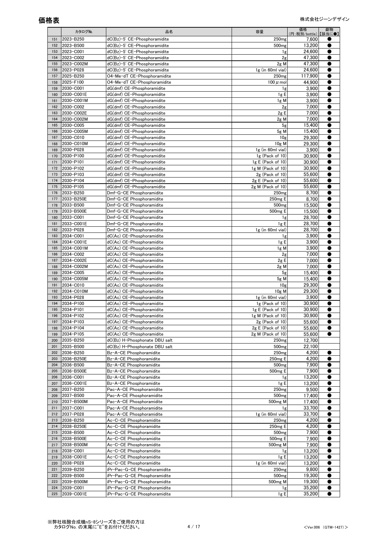|            | カタログNo.                  | 品名                                                       | 容量                                       | 価格<br>(円:税別/bottle)【該当に●】 | 劇物        |
|------------|--------------------------|----------------------------------------------------------|------------------------------------------|---------------------------|-----------|
| 151        | 2023-B250                | dC(Bz)-5' CE-Phosphoramidite                             | 250 <sub>mg</sub>                        | 7,600                     |           |
| 152        | 2023-B500                | dC(Bz)-5' CE-Phosphoramidite                             | 500 <sub>mg</sub>                        | 13,200                    |           |
| 153        | 2023-C001                | dC(Bz)-5' CE-Phosphoramidite                             | 1g                                       | 24.600                    |           |
| 154        | 2023-C002                | dC(Bz)-5' CE-Phosphoramidite                             | 2g                                       | 47,300                    |           |
| 155        | 2023-C002M               | dC(Bz)-5' CE-Phosphoramidite                             | $2g$ M                                   | 47,300                    |           |
| 156        | 2023-P028                | $dC(Bz)-5$ ' CE-Phosphoramidite                          | $1g$ (in 60ml vial)                      | 24,600                    |           |
| 157        | 2025-B250                | O4-Me-dT CE-Phosphoramidite                              | 250 <sub>mg</sub>                        | 117,900                   |           |
| 158        | 2025-F100                | O4-Me-dT CE-Phosphoramidite                              | 100 $\mu$ mol                            | 44,900                    |           |
| 159<br>160 | 2030-C001<br>2030-C001E  | dG(dmf) CE-Phosphoramidite<br>dG(dmf) CE-Phosphoramidite | 1g                                       | 3,900                     |           |
| 161        | 2030-C001M               | dG(dmf) CE-Phosphoramidite                               | 1g E<br>$1g$ M                           | 3,900<br>3,900            |           |
| 162        | 2030-C002                | dG(dmf) CE-Phosphoramidite                               | 2g                                       | 7,000                     |           |
| 163        | 2030-C002E               | dG(dmf) CE-Phosphoramidite                               | 2g E                                     | 7,000                     |           |
| 164        | 2030-C002M               | dG(dmf) CE-Phosphoramidite                               | $2g$ M                                   | 7,000                     |           |
| 165        | 2030-C005                | dG(dmf) CE-Phosphoramidite                               | 5 <sub>g</sub>                           | 15,400                    |           |
| 166        | 2030-C005M               | dG(dmf) CE-Phosphoramidite                               | $5g$ M                                   | 15,400                    |           |
| 167        | 2030-C010                | dG(dmf) CE-Phosphoramidite                               | 10g                                      | 29.300                    |           |
| 168        | 2030-C010M               | dG(dmf) CE-Phosphoramidite                               | $10g$ M                                  | 29,300                    |           |
| 169        | 2030-P028                | dG(dmf) CE-Phosphoramidite                               | $1g$ (in 60ml vial)                      | 3,900                     |           |
| 170        | 2030-P100                | dG(dmf) CE-Phosphoramidite                               | $1g$ (Pack of $10$ )                     | 30,900                    |           |
| 171        | 2030-P101                | dG(dmf) CE-Phosphoramidite                               | $1g \mathsf{E}$ (Pack of $10$ )          | 30,900                    |           |
| 172        | 2030-P102                | dG(dmf) CE-Phosphoramidite                               | 1g M (Pack of 10)                        | 30,900                    |           |
| 173        | 2030-P103                | dG(dmf) CE-Phosphoramidite                               | $2g$ (Pack of 10)                        | 55,600                    | e         |
| 174<br>175 | 2030-P104<br>2030-P105   | dG(dmf) CE-Phosphoramidite<br>dG(dmf) CE-Phosphoramidite | $2g E$ (Pack of 10)<br>2g M (Pack of 10) | 55,600<br>55,600          | О         |
| 176        | 2033-B250                | Dmf-G-CE Phosphoramidite                                 | 250 <sub>mg</sub>                        | 8,700                     |           |
| 177        | 2033-B250E               | Dmf-G-CE Phosphoramidite                                 | 250mg E                                  | 8,700                     |           |
| 178        | 2033-B500                | Dmf-G-CE Phosphoramidite                                 | 500 <sub>mg</sub>                        | 15,500                    |           |
| 179        | 2033-B500E               | Dmf-G-CE Phosphoramidite                                 | 500 <sub>mg</sub> E                      | 15,500                    |           |
| 180        | 2033-C001                | Dmf-G-CE Phosphoramidite                                 | 1g                                       | 28,700                    |           |
| 181        | 2033-C001E               | Dmf-G-CE Phosphoramidite                                 | 1gE                                      | 28,700                    |           |
| 182        | 2033-P028                | Dmf-G-CE Phosphoramidite                                 | 1g (in 60ml vial)                        | 28,700                    |           |
| 183        | 2034-C001                | dC(Ac) CE-Phosphoramidite                                | 1g                                       | 3,900                     |           |
| 184        | 2034-C001E               | dC(Ac) CE-Phosphoramidite                                | 1gE                                      | 3,900                     | e         |
| 185        | 2034-C001M               | dC(Ac) CE-Phosphoramidite                                | $1g$ M                                   | 3,900                     |           |
| 186        | 2034-C002                | dC(Ac) CE-Phosphoramidite                                | 2g                                       | 7,000                     |           |
| 187        | 2034-C002E               | dC(Ac) CE-Phosphoramidite                                | 2gE                                      | 7,000                     |           |
| 188<br>189 | 2034-C002M<br>2034-C005  | dC(Ac) CE-Phosphoramidite<br>dC(Ac) CE-Phosphoramidite   | $2g$ M<br>5 <sub>g</sub>                 | 7,000<br>15,400           | e         |
| 190        | 2034-C005M               | dC(Ac) CE-Phosphoramidite                                | $5g$ M                                   | 15,400                    |           |
| 191        | 2034-C010                | dC(Ac) CE-Phosphoramidite                                | 10g                                      | 29.300                    |           |
| 192        | 2034-C010M               | dC(Ac) CE-Phosphoramidite                                | $10g$ M                                  | 29,300                    | e         |
| 193        | 2034-P028                | dC(Ac) CE-Phosphoramidite                                | 1g (in 60ml vial)                        | 3,900                     |           |
| 194        | 2034-P100                | dC(Ac) CE-Phosphoramidite                                | $1g$ (Pack of $10$ )                     | 30,900                    |           |
| 195        | 2034-P101                | dC(Ac) CE-Phosphoramidite                                | $1g \mathsf{E}$ (Pack of $10$ )          | 30,900                    | e         |
| 196        | 2034-P102                | dC(Ac) CE-Phosphoramidite                                | 1g M (Pack of 10)                        | 30,900                    |           |
| 197        | 2034-P103                | dC(Ac) CE-Phosphoramidite                                | $2g$ (Pack of 10)                        | 55,600                    |           |
| 198        | 2034-P104                | dC(Ac) CE-Phosphoramidite                                | $2g \mathsf{E}$ (Pack of 10)             | 55,600                    |           |
| 199        | 2034-P105                | dC(Ac) CE-Phosphoramidite                                | 2g M (Pack of 10)                        | 55,600                    |           |
| 200        | 2035-B250                | dC(Bz) H-Phosphonate DBU salt                            | 250 <sub>mg</sub>                        | 12,700                    |           |
| 201        | 2035-B500                | dC(Bz) H-Phosphonate DBU salt                            | 500 <sub>mg</sub>                        | 22,100                    |           |
| 202<br>203 | 2036-B250<br>2036-B250E  | Bz-A-CE Phosphoramidite<br>Bz-A-CE Phosphoramidite       | 250 <sub>mg</sub><br>250mg E             | 4,200                     | O         |
| 204        | 2036-B500                | Bz-A-CE Phosphoramidite                                  | 500 <sub>mg</sub>                        | 4,200<br>7,900            |           |
| 205        | 2036-B500E               | Bz-A-CE Phosphoramidite                                  | 500mg E                                  | 7,900                     |           |
| 206        | 2036-C001                | Bz-A-CE Phosphoramidite                                  | 1g                                       | 13,200                    |           |
| 207        | 2036-C001E               | Bz-A-CE Phosphoramidite                                  | 1g E                                     | 13,200                    | O         |
| 208        | 2037-B250                | Pac-A-CE Phosphoramidite                                 | 250 <sub>mg</sub>                        | 9,500                     |           |
| 209        | 2037-B500                | Pac-A-CE Phosphoramidite                                 | 500 <sub>mg</sub>                        | 17,400                    |           |
| 210        | 2037-B500M               | Pac-A-CE Phosphoramidite                                 | 500mg M                                  | 17,400                    |           |
| 211        | 2037-C001                | Pac-A-CE Phosphoramidite                                 | 1g                                       | 33,700                    |           |
| 212        | 2037-P028                | Pac-A-CE Phosphoramidite                                 | 1g (in 60ml vial)                        | 33,700                    |           |
| 213        | 2038-B250                | Ac-C-CE Phosphoramidite                                  | 250 <sub>mg</sub>                        | 4,200                     |           |
| 214        | 2038-B250E               | Ac-C-CE Phosphoramidite                                  | 250mg E                                  | 4,200                     |           |
| 215        | 2038-B500                | Ac-C-CE Phosphoramidite                                  | 500 <sub>mg</sub><br>500mg E             | 7,900                     |           |
| 216<br>217 | 2038-B500E<br>2038-B500M | Ac-C-CE Phosphoramidite<br>Ac-C-CE Phosphoramidite       | 500 <sub>mg</sub> M                      | 7,900<br>7,900            | 0         |
| 218        | 2038-C001                | Ac-C-CE Phosphoramidite                                  | 1g                                       | 13,200                    |           |
| 219        | 2038-C001E               | Ac-C-CE Phosphoramidite                                  | 1g E                                     | 13,200                    |           |
| 220        | 2038-P028                | Ac-C-CE Phosphoramidite                                  | 1g (in 60ml vial)                        | 13,200                    |           |
| 221        | 2039-B250                | iPr-Pac-G-CE Phosphoramidite                             | 250 <sub>mg</sub>                        | 9,800                     |           |
| 222        | 2039-B500                | iPr-Pac-G-CE Phosphoramidite                             | 500 <sub>mg</sub>                        | 19,300                    | 0         |
| 223        | 2039-B500M               | iPr-Pac-G-CE Phosphoramidite                             | 500 <sub>mg</sub> M                      | 19,300                    |           |
| 224        | 2039-C001                | iPr-Pac-G-CE Phosphoramidite                             | 1g                                       | 35,200                    | 0         |
| 225        | 2039-C001E               | iPr-Pac-G-CE Phosphoramidite                             | 1g E                                     | 35,200                    | $\bullet$ |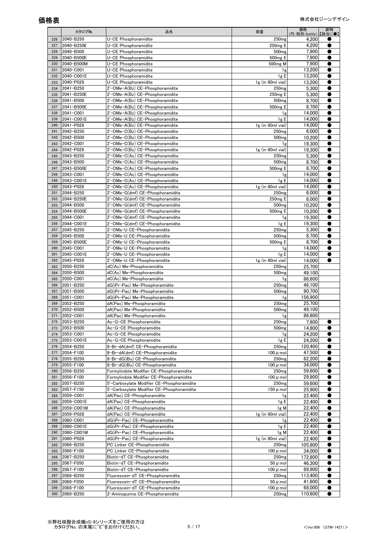|            | カタログNo.                 | 品名                                                                 | 容量                                     | 価格<br>(円:税別/bottle)【該当に●】 | 劇物 |
|------------|-------------------------|--------------------------------------------------------------------|----------------------------------------|---------------------------|----|
| 226        | 2040-B250               | U-CE Phosphoramidite                                               | 250 <sub>mg</sub>                      | 4,200                     |    |
| 227        | 2040-B250E              | U-CE Phosphoramidite                                               | 250mg E                                | 4.200                     |    |
| 228        | 2040-B500               | U-CE Phosphoramidite                                               | 500 <sub>mg</sub>                      | 7,900                     |    |
| 229        | 2040-B500E              | U-CE Phosphoramidite                                               | 500 <sub>mg</sub> E                    | 7,900                     |    |
| 230        | 2040-B500M              | U-CE Phosphoramidite                                               | 500 <sub>mg</sub> M                    | 7,900                     |    |
| 231        | 2040-C001               | U-CE Phosphoramidite                                               | 1g                                     | 13.200                    |    |
| 232        | 2040-C001E              | U-CE Phosphoramidite                                               | 1g E                                   | 13,200                    |    |
| 233        | 2040-P028               | U-CE Phosphoramidite                                               | 1g (in 60ml vial)                      | 13,200                    |    |
| 234<br>235 | 2041-B250<br>2041-B250E | 2'-OMe-A(Bz) CE-Phosphoramidite<br>2'-OMe-A(Bz) CE-Phosphoramidite | 250 <sub>mg</sub><br>250mg E           | 5,300                     |    |
| 236        | 2041-B500               | 2'-OMe-A(Bz) CE-Phosphoramidite                                    | 500 <sub>mg</sub>                      | 5,300<br>8,700            |    |
| 237        | 2041-B500E              | 2'-OMe-A(Bz) CE-Phosphoramidite                                    | 500mg E                                | 8,700                     |    |
| 238        | 2041-C001               | 2'-OMe-A(Bz) CE-Phosphoramidite                                    | 1g                                     | 14,000                    |    |
| 239        | 2041-C001E              | 2'-OMe-A(Bz) CE-Phosphoramidite                                    | 1gE                                    | 14,000                    |    |
| 240        | 2041-P028               | 2'-OMe-A(Bz) CE-Phosphoramidite                                    | $1g$ (in 60ml vial)                    | 14,000                    |    |
| 241        | 2042-B250               | 2'-OMe-C(Bz) CE-Phosphoramidite                                    | 250 <sub>mg</sub>                      | 6,000                     |    |
| 242        | 2042-B500               | 2'-OMe-C(Bz) CE-Phosphoramidite                                    | 500 <sub>mg</sub>                      | 10,200                    |    |
| 243        | 2042-C001               | 2'-OMe-C(Bz) CE-Phosphoramidite                                    | 1g                                     | 19,300                    |    |
| 244        | 2042-P028               | 2'-OMe-C(Bz) CE-Phosphoramidite                                    | $1g$ (in 60ml vial)                    | 19,300                    |    |
| 245        | 2043-B250               | 2'-OMe-C(Ac) CE-Phosphoramidite                                    | 250 <sub>mg</sub>                      | 5,300                     |    |
| 246        | 2043-B500               | 2'-OMe-C(Ac) CE-Phosphoramidite                                    | 500 <sub>mg</sub>                      | 8,700                     |    |
| 247        | 2043-B500E              | 2'-OMe-C(Ac) CE-Phosphoramidite                                    | 500 <sub>mg</sub> E                    | 8,700                     |    |
| 248        | 2043-C001               | 2'-OMe-C(Ac) CE-Phosphoramidite                                    | 1g                                     | 14,000                    |    |
| 249<br>250 | 2043-C001E<br>2043-P028 | 2'-OMe-C(Ac) CE-Phosphoramidite<br>2'-OMe-C(Ac) CE-Phosphoramidite | 1gE<br>$1g$ (in 60ml vial)             | 14,000                    |    |
| 251        | 2044-B250               | 2'-OMe-G(dmf) CE-Phosphoramidite                                   | 250 <sub>mg</sub>                      | 14,000<br>6,000           |    |
| 252        | 2044-B250E              | 2'-OMe-G(dmf) CE-Phosphoramidite                                   | 250mg E                                | 6.000                     |    |
| 253        | 2044-B500               | 2'-OMe-G(dmf) CE-Phosphoramidite                                   | 500 <sub>mg</sub>                      | 10,200                    |    |
| 254        | 2044-B500E              | 2'-OMe-G(dmf) CE-Phosphoramidite                                   | 500 <sub>mg</sub> E                    | 10,200                    |    |
| 255        | 2044-C001               | 2'-OMe-G(dmf) CE-Phosphoramidite                                   | 1g                                     | 19,300                    |    |
| 256        | 2044-C001E              | 2'-OMe-G(dmf) CE-Phosphoramidite                                   | 1g E                                   | 19,300                    |    |
| 257        | 2045-B250               | 2'-OMe-U CE-Phosphoramidite                                        | 250 <sub>mg</sub>                      | 5,300                     |    |
| 258        | 2045-B500               | 2'-OMe-U CE-Phosphoramidite                                        | 500 <sub>mg</sub>                      | 8,700                     |    |
| 259        | 2045-B500E              | 2'-OMe-U CE-Phosphoramidite                                        | 500 <sub>mg</sub> E                    | 8,700                     |    |
| 260        | 2045-C001               | 2'-OMe-U CE-Phosphoramidite                                        | 1g                                     | 14,000                    |    |
| 261        | 2045-C001E              | 2'-OMe-U CE-Phosphoramidite                                        | 1g E                                   | 14,000                    |    |
| 262        | 2045-P028               | 2'-OMe-U CE-Phosphoramidite                                        | $1g$ (in 60ml vial)                    | 14,000                    |    |
| 263<br>264 | 2050-B250<br>2050-B500  | dC(Ac) Me-Phosphoramidite<br>dC(Ac) Me-Phosphoramidite             | 250 <sub>mg</sub><br>500 <sub>mg</sub> | 25,700<br>49,100          |    |
| 265        | 2050-C001               | dC(Ac) Me-Phosphoramidite                                          | 1g                                     | 86,600                    |    |
| 266        | 2051-B250               | dG(iPr-Pac) Me-Phosphoramidite                                     | 250 <sub>mg</sub>                      | 46.100                    |    |
| 267        | 2051-B500               | dG(iPr-Pac) Me-Phosphoramidite                                     | 500 <sub>mg</sub>                      | 90,700                    |    |
| 268        | 2051-C001               | dG(iPr-Pac) Me-Phosphoramidite                                     | 1g                                     | 156,900                   |    |
| 269        | 2052-B250               | dA(Pac) Me-Phosphoramidite                                         | 250 <sub>mg</sub>                      | 25,700                    |    |
| 270        | 2052-B500               | dA(Pac) Me-Phosphoramidite                                         | 500 <sub>mg</sub>                      | 49,100                    |    |
| 271        | 2052-C001               | dA(Pac) Me-Phosphoramidite                                         | Ιg                                     | 86,600                    |    |
| 272        | 2053-B250               | Ac-G-CE Phosphoramidite                                            | 250 <sub>mg</sub>                      | 7,600                     |    |
| 273        | 2053-B500               | Ac-G-CE Phosphoramidite                                            | 500 <sub>mg</sub>                      | 14,800                    |    |
| 274        | 2053-C001               | Ac-G-CE Phosphoramidite                                            | 1g                                     | 24.200                    |    |
| 275        | 2053-C001E              | Ac-G-CE Phosphoramidite                                            | 1gE                                    | 24,200                    |    |
| 276        | 2054-B250               | 8-Br-dA(dmf) CE-Phosphoramidite                                    | 250 <sub>mg</sub>                      | 120,400<br>47,500         |    |
| 277<br>278 | 2054-F100<br>2055-B250  | 8-Br-dA(dmf) CE-Phosphoramidite<br>8-Br-dG(iBu) CE-Phosphoramidite | 100 $\mu$ mol<br>250 <sub>mg</sub>     | 82,200                    |    |
| 279        | 2055-F100               | 8-Br-dG(iBu) CE-Phosphoramidite                                    | 100 $\mu$ mol                          | 34,000                    |    |
| 280        | 2056-B250               | Formylindole Modifier CE-Phosphoramidite                           | 250 <sub>mg</sub>                      | 59.600                    |    |
| 281        | 2056-F100               | Formylindole Modifier CE-Phosphoramidite                           | 100 $\mu$ mol                          | 29,900                    |    |
| 282        | 2057-B250               | 5'-Carboxylate Modifier CE-Phosphoramidite                         | 250 <sub>mg</sub>                      | 59,600                    |    |
| 283        | 2057-F150               | 5'-Carboxylate Modifier CE-Phosphoramidite                         | 150 $\mu$ mol                          | 25,900                    |    |
| 284        | 2059-C001               | dA(Pac) CE-Phosphoramidite                                         | 1g                                     | 22,400                    |    |
| 285        | 2059-C001E              | dA(Pac) CE-Phosphoramidite                                         | 1gE                                    | 22,400                    |    |
| 286        | 2059-C001M              | dA(Pac) CE-Phosphoramidite                                         | 1g M                                   | 22,400                    |    |
| 287        | 2059-P028               | dA(Pac) CE-Phosphoramidite                                         | $1g$ (in 60ml vial)                    | 22,400                    |    |
| 288        | 2060-C001               | dG(iPr-Pac) CE-Phosphoramidite                                     | 1g                                     | 22,400                    |    |
| 289        | 2060-C001E              | dG(iPr-Pac) CE-Phosphoramidite                                     | 1gE                                    | 22,400                    |    |
| 290<br>291 | 2060-C001M<br>2060-P028 | dG(iPr-Pac) CE-Phosphoramidite<br>dG(iPr-Pac) CE-Phosphoramidite   | 1g M<br>$1g$ (in 60ml vial)            | 22,400<br>22,400          |    |
| 292        | 2066-B250               | PC Linker CE-Phosphoramidite                                       | 250 <sub>mg</sub>                      | 105,800                   |    |
| 293        | 2066-F100               | PC Linker CE-Phosphoramidite                                       | 100 $\mu$ mol                          | 34,000                    |    |
| 294        | 2067-B250               | Biotin-dT CE-Phosphoramidite                                       | 250 <sub>mg</sub>                      | 172,800                   |    |
| 295        | 2067-F050               | Biotin-dT CE-Phosphoramidite                                       | $50 \mu$ mol                           | 46,300                    |    |
| 296        | 2067-F100               | Biotin-dT CE-Phosphoramidite                                       | 100 $\mu$ mol                          | 89,900                    |    |
| 297        | 2068-B250               | Fluorescein-dT CE-Phosphoramidite                                  | 250 <sub>mg</sub>                      | 113,400                   |    |
| 298        | 2068-F050               | Fluorescein-dT CE-Phosphoramidite                                  | $50 \mu$ mol                           | 41,600                    |    |
| 299        | 2068-F100               | Fluorescein-dT CE-Phosphoramidite                                  | 100 $\mu$ mol                          | 68,000                    | ●  |
| 300        | 2069-B250               | 2-Aminopurine CE-Phosphoramidite                                   | 250 <sub>mg</sub>                      | 110,600                   |    |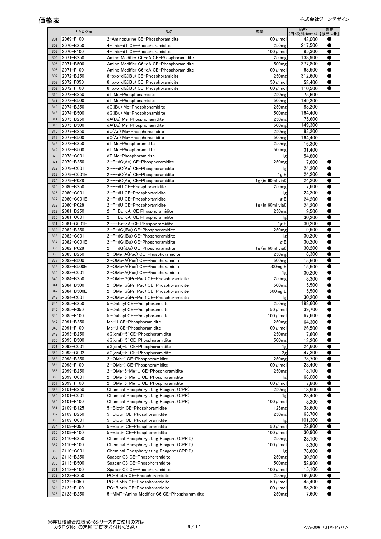|            | カタログNo.                 | 品名                                                                          | 容量                                     | 価格<br>(円:税別/bottle)【該当に●】 | 劇物 |
|------------|-------------------------|-----------------------------------------------------------------------------|----------------------------------------|---------------------------|----|
| 301        | 2069-F100               | 2-Aminopurine CE-Phosphoramidite                                            | 100 $\mu$ mol                          | 43,000                    |    |
| 302        | 2070-B250               | 4-Thio-dT CE-Phosphoramidite                                                | 250 <sub>mg</sub>                      | 217,500                   |    |
| 303        | 2070-F100               | 4-Thio-dT CE-Phosphoramidite                                                | $100 \mu$ mol                          | 95,300                    |    |
| 304        | 2071-B250               | Amino Modifier C6-dA CE-Phosphoramidite                                     | 250 <sub>mg</sub>                      | 138,900                   |    |
| 305        | 2071-B500               | Amino Modifier C6-dA CE-Phosphoramidite                                     | 500 <sub>mg</sub>                      | 277.800                   |    |
| 306<br>307 | 2071-F100<br>2072-B250  | Amino Modifier C6-dA CE-Phosphoramidite<br>8-oxo-dG(iBu) CE-Phosphoramidite | 100 $\mu$ mol<br>250 <sub>mg</sub>     | 63,500                    |    |
| 308        | 2072-F050               | 8-oxo-dG(iBu) CE-Phosphoramidite                                            | $50 \mu$ mol                           | 312,600<br>58,400         |    |
| 309        | 2072-F100               | 8-oxo-dG(iBu) CE-Phosphoramidite                                            | 100 $\mu$ mol                          | 110,500                   |    |
| 310        | 2073-B250               | dT Me-Phosphonamidite                                                       | 250 <sub>mg</sub>                      | 75,600                    |    |
| 311        | 2073-B500               | dT Me-Phosphonamidite                                                       | 500 <sub>mg</sub>                      | 149.300                   |    |
| 312        | 2074-B250               | dG(iBu) Me-Phosphonamidite                                                  | 250 <sub>mg</sub>                      | 83,200                    |    |
| 313        | 2074-B500               | dG(iBu) Me-Phosphonamidite                                                  | 500 <sub>mg</sub>                      | 164.400                   |    |
| 314        | 2075-B250               | dA(Bz) Me-Phosphonamidite                                                   | 250 <sub>mg</sub>                      | 75,600                    |    |
| 315        | 2075-B500               | dA(Bz) Me-Phosphonamidite                                                   | 500 <sub>mg</sub>                      | 149,300                   |    |
| 316        | 2077-B250               | dC(Ac) Me-Phosphonamidite                                                   | 250 <sub>mg</sub>                      | 83,200                    |    |
| 317<br>318 | 2077-B500<br>2078-B250  | dC(Ac) Me-Phosphonamidite<br>dT Me-Phosphoramidite                          | 500 <sub>mg</sub><br>250 <sub>mg</sub> | 164.400<br>16,300         |    |
| 319        | 2078-B500               | dT Me-Phosphoramidite                                                       | 500 <sub>mg</sub>                      | 31,400                    |    |
| 320        | 2078-C001               | dT Me-Phosphoramidite                                                       | 1g                                     | 54.800                    |    |
| 321        | 2079-B250               | 2'-F-dC(Ac) CE-Phosphoramidite                                              | 250 <sub>mg</sub>                      | 7,600                     |    |
| 322        | 2079-C001               | 2'-F-dC(Ac) CE-Phosphoramidite                                              | 1g                                     | 24,200                    |    |
| 323        | 2079-C001E              | 2'-F-dC(Ac) CE-Phosphoramidite                                              | 1g E                                   | 24,200                    |    |
| 324        | 2079-P028               | 2'-F-dC(Ac) CE-Phosphoramidite                                              | 1g (in 60ml vial)                      | 24,200                    |    |
| 325        | 2080-B250               | 2'-F-dU CE-Phosphoramidite                                                  | 250 <sub>mg</sub>                      | 7.600                     |    |
| 326        | 2080-C001               | 2'-F-dU CE-Phosphoramidite<br>2'-F-dU CE-Phosphoramidite                    | 1g                                     | 24,200<br>24.200          |    |
| 327<br>328 | 2080-C001E<br>2080-P028 | 2'-F-dU CE-Phosphoramidite                                                  | 1gE<br>1g (in 60ml vial)               | 24,200                    |    |
| 329        | 2081-B250               | 2'-F-Bz-dA-CE Phosphoramidite                                               | 250 <sub>mg</sub>                      | 9,500                     |    |
| 330        | 2081-C001               | 2'-F-Bz-dA-CE Phosphoramidite                                               | 1g                                     | 30.200                    |    |
| 331        | 2081-C001E              | 2'-F-Bz-dA-CE Phosphoramidite                                               | 1gE                                    | 30,200                    |    |
| 332        | 2082-B250               | 2'-F-dG(iBu) CE-Phosphoramidite                                             | 250 <sub>mg</sub>                      | 9,500                     |    |
| 333        | 2082-C001               | 2'-F-dG(iBu) CE-Phosphoramidite                                             | 1g                                     | 30.200                    |    |
| 334        | 2082-C001E              | 2'-F-dG(iBu) CE-Phosphoramidite                                             | 1g E                                   | 30,200                    |    |
| 335        | 2082-P028               | 2'-F-dG(iBu) CE-Phosphoramidite                                             | 1g (in 60ml vial)                      | 30.200                    |    |
| 336<br>337 | 2083-B250<br>2083-B500  | 2'-OMe-A(Pac) CE-Phosphoramidite<br>2'-OMe-A(Pac) CE-Phosphoramidite        | 250 <sub>mg</sub><br>500 <sub>mg</sub> | 8,300<br>15,500           |    |
| 338        | 2083-B500E              | 2'-OMe-A(Pac) CE-Phosphoramidite                                            | 500mg E                                | 15,500                    |    |
| 339        | 2083-C001               | 2'-OMe-A(Pac) CE-Phosphoramidite                                            | 1g                                     | 30,200                    |    |
| 340        | 2084-B250               | 2'-OMe-G(iPr-Pac) CE-Phosphoramidite                                        | 250 <sub>mg</sub>                      | 8,300                     |    |
| 341        | 2084-B500               | 2'-OMe-G(iPr-Pac) CE-Phosphoramidite                                        | 500 <sub>mg</sub>                      | 15,500                    |    |
| 342        | 2084-B500E              | 2'-OMe-G(iPr-Pac) CE-Phosphoramidite                                        | 500 <sub>mg</sub> E                    | 15,500                    |    |
| 343        | 2084-C001               | 2'-OMe-G(iPr-Pac) CE-Phosphoramidite                                        | 1g                                     | 30.200                    |    |
| 344<br>345 | 2085-B250<br>2085-F050  | 5'-Dabcyl CE-Phosphoramidite<br>5'-Dabcyl CE-Phosphoramidite                | 250 <sub>mg</sub><br>$50 \mu$ mol      | 198,600<br>39,700         |    |
| 346        | 2085-F100               | 5'-Dabcyl CE-Phosphoramidite                                                | 100 $\mu$ mol                          | 67,600                    |    |
| 347        | 2091-B250               | Me-U CE-Phosphoramidite                                                     | 250 <sub>mg</sub>                      | 64,300                    |    |
| 348        | 2091-F100               | Me-U CE-Phosphoramidite                                                     | 100 $\mu$ mol                          | 26.500                    |    |
| 349        | 2093-B250               | dG(dmf)-5' CE-Phosphoramidite                                               | 250 <sub>mg</sub>                      | 7,600                     |    |
| 350        | 2093-B500               | dG(dmf)-5' CE-Phosphoramidite                                               | 500 <sub>mg</sub>                      | 13,200                    |    |
| 351        | 2093-C001               | dG(dmf)-5' CE-Phosphoramidite                                               | 1g                                     | 24.600                    |    |
| 352        | 2093-C002               | dG(dmf)-5' CE-Phosphoramidite                                               | 2g                                     | 47,300                    |    |
| 353<br>354 | 2098-B250<br>2098-F100  | 2'-OMe-I CE-Phosphoramidite<br>2'-OMe-I CE-Phosphoramidite                  | 250 <sub>mg</sub><br>100 $\mu$ mol     | 73,700<br>28,400          |    |
| 355        | 2099-B250               | 2'-OMe-5-Me-U CE-Phosphoramidite                                            | 250 <sub>mg</sub>                      | 18,100                    |    |
| 356        | 2099-C001               | 2'-OMe-5-Me-U CE-Phosphoramidite                                            | 1g                                     | 68,000                    |    |
| 357        | 2099-F100               | 2'-OMe-5-Me-U CE-Phosphoramidite                                            | 100 $\mu$ mol                          | 7.600                     |    |
| 358        | 2101-B250               | Chemical Phosphorylating Reagent (CPR)                                      | 250 <sub>mg</sub>                      | 18,900                    |    |
| 359        | 2101-C001               | Chemical Phosphorylating Reagent (CPR)                                      | 1g                                     | 28,400                    |    |
| 360        | 2101-F100               | Chemical Phosphorylating Reagent (CPR)                                      | 100 $\mu$ mol                          | 8,300                     |    |
| 361        | 2109-B125               | 5'-Biotin CE-Phosphoramidite                                                | 125mg                                  | 38,600                    |    |
| 362<br>363 | 2109-B250<br>2109-C001  | 5'-Biotin CE-Phosphoramidite<br>5'-Biotin CE-Phosphoramidite                | 250 <sub>mg</sub>                      | 63,700                    |    |
| 364        | 2109-F050               | 5'-Biotin CE-Phosphoramidite                                                | 1g<br>$50 \mu$ mol                     | 101,300<br>22,800         |    |
| 365        | 2109-F100               | 5'-Biotin CE-Phosphoramidite                                                | 100 $\mu$ mol                          | 30,900                    |    |
| 366        | 2110-B250               | Chemical Phosphorylating Reagent (CPR II)                                   | 250 <sub>mg</sub>                      | 23,100                    |    |
| 367        | 2110-F100               | Chemical Phosphorylating Reagent (CPR II)                                   | 100 $\mu$ mol                          | 8,300                     |    |
| 368        | 2110-C001               | Chemical Phosphorylating Reagent (CPR II)                                   | 1g                                     | 78,600                    |    |
| 369        | 2113-B250               | Spacer C3 CE-Phosphoramidite                                                | 250 <sub>mg</sub>                      | 30,200                    |    |
| 370        | 2113-B500               | Spacer C3 CE-Phosphoramidite                                                | 500 <sub>mg</sub>                      | 52,900                    |    |
| 371        | 2113-F100               | Spacer C3 CE-Phosphoramidite                                                | 100 $\mu$ mol                          | 15,100                    |    |
| 372<br>373 | 2122-B250<br>2122-F050  | PC-Biotin CE-Phosphoramidite<br>PC-Biotin CE-Phosphoramidite                | 250 <sub>mg</sub><br>$50 \mu$ mol      | 196,600<br>45,400         |    |
| 374        | 2122-F100               | PC-Biotin CE-Phosphoramidite                                                | 100 $\mu$ mol                          | 83,200                    |    |
| 375        | 2123-B250               | 5'-MMT-Amino Modifier C6 CE-Phosphoramidite                                 | 250 <sub>mg</sub>                      | 7,600                     | 0  |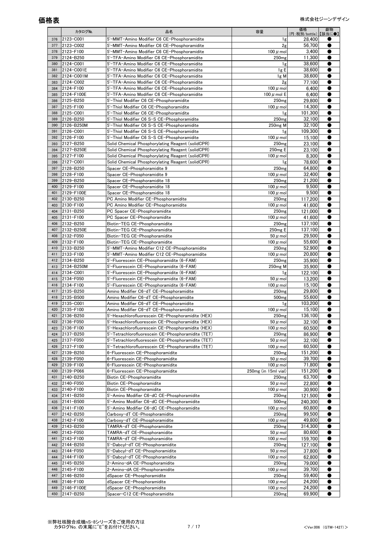|            | カタログNo.                 | 品名                                                                                                      | 容量                                 | 価格<br>(円:税別/bottle)【該当に●】 | 劇物        |
|------------|-------------------------|---------------------------------------------------------------------------------------------------------|------------------------------------|---------------------------|-----------|
| 376        | 2123-C001               | 5'-MMT-Amino Modifier C6 CE-Phosphoramidite                                                             | 1g                                 | 28,400                    |           |
| 377        | 2123-C002               | 5'-MMT-Amino Modifier C6 CE-Phosphoramidite                                                             | 2g                                 | 56.700                    |           |
| 378        | 2123-F100               | 5'-MMT-Amino Modifier C6 CE-Phosphoramidite                                                             | 100 $\mu$ mol                      | 3,400                     |           |
| 379<br>380 | 2124-B250<br>2124-C001  | 5'-TFA-Amino Modifier C6 CE-Phosphoramidite<br>5'-TFA-Amino Modifier C6 CE-Phosphoramidite              | 250 <sub>mg</sub>                  | 11,300                    |           |
| 381        | 2124-C001E              | 5'-TFA-Amino Modifier C6 CE-Phosphoramidite                                                             | 1g<br>1gE                          | 38,600<br>38,600          |           |
| 382        | 2124-C001M              | 5'-TFA-Amino Modifier C6 CE-Phosphoramidite                                                             | $1g$ M                             | 38,600                    |           |
| 383        | 2124-C002               | 5'-TFA-Amino Modifier C6 CE-Phosphoramidite                                                             | 2g                                 | 77,100                    |           |
| 384        | 2124-F100               | 5'-TFA-Amino Modifier C6 CE-Phosphoramidite                                                             | 100 $\mu$ mol                      | 6,400                     |           |
| 385        | 2124-F100E              | 5'-TFA-Amino Modifier C6 CE-Phosphoramidite                                                             | 100 $\mu$ mol E                    | 6,400                     |           |
| 386        | 2125-B250               | 5'-Thiol Modifier C6 CE-Phosphoramidite                                                                 | 250 <sub>mg</sub>                  | 29,800                    |           |
| 387        | 2125-F100               | 5'-Thiol Modifier C6 CE-Phosphoramidite                                                                 | $100 \mu$ mol                      | 14.300                    |           |
| 388<br>389 | 2125-C001<br>2126-B250  | 5'-Thiol Modifier C6 CE-Phosphoramidite<br>5'-Thiol Modifier C6 S-S CE-Phosphoramidite                  | 1g<br>250 <sub>mg</sub>            | 101.300<br>32,100         |           |
| 390        | 2126-B250M              | 5'-Thiol Modifier C6 S-S CE-Phosphoramidite                                                             | 250 <sub>mg</sub> M                | 32,100                    |           |
| 391        | 2126-C001               | 5'-Thiol Modifier C6 S-S CE-Phosphoramidite                                                             | 1g                                 | 109,300                   |           |
| 392        | 2126-F100               | 5'-Thiol Modifier C6 S-S CE-Phosphoramidite                                                             | 100 $\mu$ mol                      | 15,100                    |           |
| 393        | 2127-B250               | Solid Chemical Phosphorylating Reagent (solidCPR)                                                       | 250 <sub>mg</sub>                  | 23,100                    |           |
| 394        | 2127-B250E              | Solid Chemical Phosphorylating Reagent (solidCPR)                                                       | 250 <sub>mg</sub> E                | 23,100                    |           |
| 395        | 2127-F100               | Solid Chemical Phosphorylating Reagent (solidCPR)                                                       | $100 \mu$ mol                      | 8,300                     |           |
| 396<br>397 | 2127-C001<br>2128-B250  | Solid Chemical Phosphorylating Reagent (solidCPR)                                                       | 1g<br>250 <sub>mg</sub>            | 78,600<br>64.800          |           |
| 398        | 2128-F100               | Spacer CE-Phosphoramidite 9<br>Spacer CE-Phosphoramidite 9                                              | 100 $\mu$ mol                      | 32.400                    |           |
| 399        | 2129-B250               | Spacer CE-Phosphoramidite 18                                                                            | 250 <sub>mg</sub>                  | 21,200                    |           |
| 400        | 2129-F100               | Spacer CE-Phosphoramidite 18                                                                            | 100 $\mu$ mol                      | 9,500                     |           |
| 401        | 2129-F100E              | Spacer CE-Phosphoramidite 18                                                                            | $100 \mu$ mol                      | 9,500                     |           |
| 402        | 2130-B250               | PC Amino Modifier CE-Phosphoramidite                                                                    | 250 <sub>mg</sub>                  | 117,200                   |           |
| 403        | 2130-F100               | PC Amino Modifier CE-Phosphoramidite                                                                    | $100 \mu$ mol                      | 41.600                    |           |
| 404        | 2131-B250               | PC Spacer CE-Phosphoramidite                                                                            | 250 <sub>mg</sub>                  | 121,000                   |           |
| 405        | 2131-F100               | PC Spacer CE-Phosphoramidite                                                                            | 100 $\mu$ mol                      | 41,600<br>137,100         |           |
| 406<br>407 | 2132-B250<br>2132-B250E | Biotin-TEG CE-Phosphoramidite<br>Biotin-TEG CE-Phosphoramidite                                          | 250 <sub>mg</sub><br>250mg E       | 137,100                   |           |
| 408        | 2132-F050               | Biotin-TEG CE-Phosphoramidite                                                                           | $50 \mu$ mol                       | 29.500                    |           |
| 409        | 2132-F100               | Biotin-TEG CE-Phosphoramidite                                                                           | 100 $\mu$ mol                      | 55,600                    |           |
| 410        | 2133-B250               | 5'-MMT-Amino Modifier C12 CE-Phosphoramidite                                                            | 250 <sub>mg</sub>                  | 52,900                    |           |
| 411        | 2133-F100               | 5'-MMT-Amino Modifier C12 CE-Phosphoramidite                                                            | 100 $\mu$ mol                      | 20,800                    |           |
| 412        | 2134-B250               | 5'-Fluorescein CE-Phosphoramidite (6-FAM)                                                               | 250 <sub>mg</sub>                  | 35,900                    |           |
| 413        | 2134-B250M              | 5'-Fluorescein CE-Phosphoramidite (6-FAM)                                                               | 250 <sub>mg</sub> M                | 35,900                    | О         |
| 414<br>415 | 2134-C001<br>2134-F050  | 5'-Fluorescein CE-Phosphoramidite (6-FAM)<br>5'-Fluorescein CE-Phosphoramidite (6-FAM)                  | 1g<br>$50 \mu$ mol                 | 122,100<br>13.200         |           |
| 416        | 2134-F100               | 5'-Fluorescein CE-Phosphoramidite (6-FAM)                                                               | 100 $\mu$ mol                      | 15,100                    |           |
| 417        | 2135-B250               | Amino Modifier C6-dT CE-Phosphoramidite                                                                 | 250 <sub>mg</sub>                  | 29,800                    |           |
| 418        | 2135-B500               | Amino Modifier C6-dT CE-Phosphoramidite                                                                 | 500 <sub>mg</sub>                  | 55.600                    |           |
| 419        | 2135-C001               | Amino Modifier C6-dT CE-Phosphoramidite                                                                 | 1g                                 | 103,200                   |           |
| 420        | 2135-F100               | Amino Modifier C6-dT CE-Phosphoramidite                                                                 | 100 $\mu$ mol                      | 15,100                    |           |
| 421        | 2136-B250               | 5'-Hexachlorofluorescein CE-Phosphoramidite (HEX)                                                       | 250mg                              | 136,100                   |           |
| 422        | 2136-F050               | 5'-Hexachlorofluorescein CE-Phosphoramidite (HEX)                                                       | $50 \mu$ mol                       | 32,100                    |           |
| 423<br>424 | 2136-F100<br>2137-B250  | 5'-Hexachlorofluorescein CE-Phosphoramidite (HEX)<br>5'-Tetrachlorofluorescein CE-Phosphoramidite (TET) | 100 $\mu$ mol<br>250 <sub>mg</sub> | 60,500<br>86,900          |           |
| 425        | 2137-F050               | 5'-Tetrachlorofluorescein CE-Phosphoramidite (TET)                                                      | $50 \mu$ mol                       | 32.100                    |           |
| 426        | 2137-F100               | 5'-Tetrachlorofluorescein CE-Phosphoramidite (TET)                                                      | 100 $\mu$ mol                      | 60,500                    |           |
| 427        | 2139-B250               | 6-Fluorescein CE-Phosphoramidite                                                                        | 250 <sub>mg</sub>                  | 151,200                   |           |
| 428        | 2139-F050               | 6-Fluorescein CE-Phosphoramidite                                                                        | $50 \mu$ mol                       | 39,700                    |           |
| 429        | 2139-F100               | 6-Fluorescein CE-Phosphoramidite                                                                        | 100 $\mu$ mol                      | 71,800                    |           |
| 430        | 2139-P066               | 6-Fluorescein CE-Phosphoramidite                                                                        | 250mg (in 15ml vial)               | 151,200                   |           |
| 431        | 2140-B250               | Biotin CE-Phosphoramidite                                                                               | 250 <sub>mg</sub>                  | 63,700<br>22,800          |           |
| 432<br>433 | 2140-F050<br>2140-F100  | Biotin CE-Phosphoramidite<br>Biotin CE-Phosphoramidite                                                  | $50 \mu$ mol<br>100 $\mu$ mol      | 30,900                    |           |
| 434        | 2141-B250               | 5'-Amino Modifier C6-dC CE-Phosphoramidite                                                              | 250 <sub>mg</sub>                  | 121,500                   |           |
| 435        | 2141-B500               | 5'-Amino Modifier C6-dC CE-Phosphoramidite                                                              | 500 <sub>mg</sub>                  | 240,300                   |           |
| 436        | 2141-F100               | 5'-Amino Modifier C6-dC CE-Phosphoramidite                                                              | 100 $\mu$ mol                      | 60,800                    |           |
| 437        | 2142-B250               | Carboxy-dT CE-Phosphoramidite                                                                           | 250 <sub>mg</sub>                  | 99,500                    |           |
| 438        | 2142-F100               | Carboxy-dT CE-Phosphoramidite                                                                           | 100 $\mu$ mol                      | 49,800                    |           |
| 439        | 2143-B250               | TAMRA-dT CE-Phosphoramidite                                                                             | 250 <sub>mg</sub>                  | 314,300                   |           |
| 440<br>441 | 2143-F050               | TAMRA-dT CE-Phosphoramidite                                                                             | $50 \mu$ mol                       | 80,600                    |           |
| 442        | 2143-F100<br>2144-B250  | TAMRA-dT CE-Phosphoramidite<br>5'-Dabcyl-dT CE-Phosphoramidite                                          | 100 $\mu$ mol<br>250 <sub>mg</sub> | 159,700<br>127,100        | О         |
| 443        | 2144-F050               | 5'-Dabcyl-dT CE-Phosphoramidite                                                                         | $50 \mu$ mol                       | 37,800                    |           |
| 444        | 2144-F100               | 5'-Dabcyl-dT CE-Phosphoramidite                                                                         | 100 $\mu$ mol                      | 62,800                    |           |
| 445        | 2145-B250               | 2-Amino-dA CE-Phosphoramidite                                                                           | 250 <sub>mg</sub>                  | 79,000                    |           |
| 446        | 2145-F100               | 2-Amino-dA CE-Phosphoramidite                                                                           | 100 $\mu$ mol                      | 39,700                    |           |
| 447        | 2146-B250               | dSpacer CE-Phosphoramidite                                                                              | 250 <sub>mg</sub>                  | 59,400                    |           |
| 448        | 2146-F100               | dSpacer CE-Phosphoramidite                                                                              | 100 $\mu$ mol                      | 24,200                    |           |
| 449        | 2146-F100E              | dSpacer CE-Phosphoramidite                                                                              | 100 $\mu$ mol                      | 24,200                    |           |
| 450        | 2147-B250               | Spacer-C12 CE-Phosphoramidite                                                                           | 250 <sub>mg</sub>                  | 69,900                    | $\bullet$ |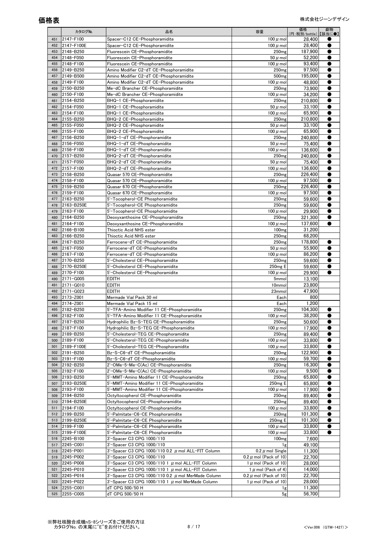|            | カタログNo.                 | 品名                                                                        | 容量                                   | 価格<br>(円:税別/bottle)【該当に●】 | 劇物 |
|------------|-------------------------|---------------------------------------------------------------------------|--------------------------------------|---------------------------|----|
| 451        | 2147-F100               | Spacer-C12 CE-Phosphoramidite                                             | 100 $\mu$ mol                        | 28,400                    |    |
| 452        | 2147-F100E              | Spacer-C12 CE-Phosphoramidite                                             | 100 $\mu$ mol                        | 28.400                    |    |
| 453        | 2148-B250               | Fluorescein CE-Phosphoramidite                                            | 250 <sub>mg</sub>                    | 187,900                   |    |
| 454        | 2148-F050               | Fluorescein CE-Phosphoramidite                                            | $50 \mu$ mol                         | 52,200                    | ●  |
| 455<br>456 | 2148-F100<br>2149-B250  | Fluorescein CE-Phosphoramidite<br>Amino Modifier C2-dT CE-Phosphoramidite | 100 $\mu$ mol<br>250 <sub>mg</sub>   | 93,400<br>97,500          |    |
| 457        | 2149-B500               | Amino Modifier C2-dT CE-Phosphoramidite                                   | 500 <sub>mg</sub>                    | 195,000                   | ●  |
| 458        | 2149-F100               | Amino Modifier C2-dT CE-Phosphoramidite                                   | 100 $\mu$ mol                        | 48,800                    |    |
| 459        | 2150-B250               | Me-dC Brancher CE-Phosphoramidite                                         | 250 <sub>mg</sub>                    | 73,900                    | ●  |
| 460        | 2150-F100               | Me-dC Brancher CE-Phosphoramidite                                         | 100 $\mu$ mol                        | 34.200                    |    |
| 461        | 2154-B250               | BHQ-1 CE-Phosphoramidite                                                  | 250 <sub>mg</sub>                    | 210,800                   |    |
| 462        | 2154-F050               | BHQ-1 CE-Phosphoramidite                                                  | $50 \mu$ mol                         | 33,100                    | ●  |
| 463        | 2154-F100               | BHQ-1 CE-Phosphoramidite                                                  | 100 $\mu$ mol                        | 65,900                    |    |
| 464        | 2155-B250               | BHQ-2 CE-Phosphoramidite                                                  | 250 <sub>mg</sub>                    | 210,800                   |    |
| 465        | 2155-F050               | BHQ-2 CE-Phosphoramidite                                                  | $50 \mu$ mol                         | 33,100                    |    |
| 466<br>467 | 2155-F100<br>2156-B250  | BHQ-2 CE-Phosphoramidite<br>BHQ-1-dT CE-Phosphoramidite                   | 100 $\mu$ mol<br>250 <sub>mg</sub>   | 65,900<br>240,800         |    |
| 468        | 2156-F050               | BHQ-1-dT CE-Phosphoramidite                                               | $50 \mu$ mol                         | 75,400                    |    |
| 469        | 2156-F100               | BHQ-1-dT CE-Phosphoramidite                                               | 100 $\mu$ mol                        | 136,600                   |    |
| 470        | 2157-B250               | BHQ-2-dT CE-Phosphoramidite                                               | 250 <sub>mg</sub>                    | 240,800                   |    |
| 471        | 2157-F050               | BHQ-2-dT CE-Phosphoramidite                                               | $50 \mu$ mol                         | 75.400                    |    |
| 472        | 2157-F100               | BHQ-2-dT CE-Phosphoramidite                                               | 100 $\mu$ mol                        | 136,600                   |    |
| 473        | 2158-B250               | Quasar 570 CE-Phosphoramidite                                             | 250 <sub>mg</sub>                    | 226.400                   |    |
| 474        | 2158-F100               | Quasar 570 CE-Phosphoramidite                                             | 100 $\mu$ mol                        | 97,500                    |    |
| 475        | 2159-B250               | Quasar 670 CE-Phosphoramidite                                             | 250 <sub>mg</sub>                    | 226,400                   |    |
| 476        | 2159-F100               | Quasar 670 CE-Phosphoramidite                                             | 100 $\mu$ mol                        | 97,500                    |    |
| 477        | 2163-B250               | 5'-Tocopherol-CE Phosphoramidite                                          | 250 <sub>mg</sub>                    | 59,600                    |    |
| 478<br>479 | 2163-B250E<br>2163-F100 | 5'-Tocopherol-CE Phosphoramidite                                          | 250 <sub>mg</sub><br>100 $\mu$ mol   | 59,600<br>29,900          |    |
| 480        | 2164-B250               | 5'-Tocopherol-CE Phosphoramidite<br>Deoxyxanthosine CE-Phosphoramidite    | 250 <sub>mg</sub>                    | 321,300                   |    |
| 481        | 2164-F100               | Deoxyxanthosine CE-Phosphoramidite                                        | 100 $\mu$ mol                        | 137,600                   |    |
| 482        | 2166-B100               | Thioctic Acid NHS ester                                                   | 100 <sub>mg</sub>                    | 31,200                    |    |
| 483        | 2166-B250               | Thioctic Acid NHS ester                                                   | 250 <sub>mg</sub>                    | 68,200                    |    |
| 484        | 2167-B250               | Ferrocene-dT CE-Phosphoramidite                                           | 250 <sub>mg</sub>                    | 178,800                   |    |
| 485        | 2167-F050               | Ferrocene-dT CE-Phosphoramidite                                           | $50 \mu$ mol                         | 55,900                    |    |
| 486        | 2167-F100               | Ferrocene-dT CE-Phosphoramidite                                           | 100 $\mu$ mol                        | 86,200                    |    |
| 487        | 2170-B250               | 5'-Cholesterol CE-Phosphoramidite                                         | 250 <sub>mg</sub>                    | 59,600                    | ●  |
| 488        | 2170-B250E              | 5'-Cholesterol CE-Phosphoramidite                                         | 250 <sub>mg</sub> E                  | 59,600                    |    |
| 489        | 2170-F100               | 5'-Cholesterol CE-Phosphoramidite                                         | 100 $\mu$ mol                        | 29,900                    | ●  |
| 490        | 2171-G005               | <b>EDITH</b>                                                              | 5mmol                                | 13,100                    |    |
| 491<br>492 | 2171-G010<br>2171-G023  | <b>EDITH</b><br><b>EDITH</b>                                              | 10mmol<br>23mmol                     | 23,800<br>47.900          |    |
| 493        | 2173-Z001               | Mermade Vial Pack 30 ml                                                   | Each                                 | 800                       |    |
| 494        | 2174-Z001               | Mermade Vial Pack 15 ml                                                   | Each                                 | 1,200                     |    |
| 495        | 2182-B250               | 5'-TFA-Amino Modifier 11 CE-Phosphoramidite                               | 250 <sub>mg</sub>                    | 104,300                   |    |
| 496        | 2182-F100               | 5'-TFA-Amino Modifier 11 CE-Phosphoramidite                               | 100 $\mu$ mol                        | 38,200                    |    |
| 497        | 2187-B250               | Hydrophilic Bz-S-TEG CE-Phosphoramidite                                   | 250 <sub>mg</sub>                    | 50,600                    |    |
| 498        | 2187-F100               | Hydrophilic Bz-S-TEG CE-Phosphoramidite                                   | 100 $\mu$ mol                        | 17,900                    |    |
| 499        | 2189-B250               | 5'-Cholesterol-TEG CE-Phosphoramidite                                     | 250 <sub>mg</sub>                    | 89.400                    |    |
| 500        | 2189-F100               | 5'-Cholesterol-TEG CE-Phosphoramidite                                     | 100 $\mu$ mol                        | 33,800                    |    |
| 501        | 2189-F100E              | 5'-Cholesterol-TEG CE-Phosphoramidite                                     | 100 $\mu$ mol                        | 33,800                    |    |
| 502<br>503 | 2191-B250<br>2191-F100  | Bz-S-C6-dT CE-Phosphoramidite<br>Bz-S-C6-dT CE-Phosphoramidite            | 250 <sub>mg</sub><br>100 $\mu$ mol   | 122,900<br>59,700         |    |
| 504        | 2192-B250               | 2'-OMe-5-Me-C(Ac) CE-Phosphoramidite                                      | 250 <sub>mg</sub>                    | 16,300                    |    |
| 505        | 2192-F100               | 2'-OMe-5-Me-C(Ac) CE-Phosphoramidite                                      | 100 $\mu$ mol                        | 9,500                     |    |
| 506        | 2193-B250               | 5'-MMT-Amino Modifier 11 CE-Phosphoramidite                               | 250 <sub>mg</sub>                    | 65,800                    |    |
| 507        | 2193-B250E              | 5'-MMT-Amino Modifier 11 CE-Phosphoramidite                               | 250 <sub>mg</sub> E                  | 65.800                    |    |
| 508        | 2193-F100               | 5'-MMT-Amino Modifier 11 CE-Phosphoramidite                               | 100 $\mu$ mol                        | 17,900                    |    |
| 509        | 2194-B250               | Octyltocopherol CE-Phosphoramidite                                        | 250 <sub>mg</sub>                    | 89,400                    |    |
| 510        | 2194-B250E              | Octyltocopherol CE-Phosphoramidite                                        | 250 <sub>mg</sub>                    | 89,400                    |    |
| 511        | 2194-F100               | Octyltocopherol CE-Phosphoramidite                                        | 100 $\mu$ mol                        | 33,800                    |    |
| 512        | 2199-B250               | 5'-Palmitate-C6-CE Phosphoramidite                                        | 250 <sub>mg</sub>                    | 101,300                   |    |
| 513<br>514 | 2199-B250E<br>2199-F100 | 5'-Palmitate-C6-CE Phosphoramidite<br>5'-Palmitate-C6-CE Phosphoramidite  | 250 <sub>mg</sub> E<br>100 $\mu$ mol | 101,300<br>33,800         |    |
| 515        | 2199-F100E              | 5'-Palmitate-C6-CE Phosphoramidite                                        | 100 $\mu$ mol                        | 33,800                    |    |
| 516        | 2245-B100               | 3'-Spacer C3 CPG 1000/110                                                 | 100 <sub>mg</sub>                    | 7,600                     |    |
| 517        | 2245-C001               | 3'-Spacer C3 CPG 1000/110                                                 | 1g                                   | 49,100                    |    |
| 518        | 2245-P001               | 3'-Spacer C3 CPG 1000/110 0.2 $\mu$ mol ALL-FIT Column                    | 0.2 $\mu$ mol Single                 | 11,300                    |    |
| 519        | 2245-P002               | 3'-Spacer C3 CPG 1000/110                                                 | $0.2 \mu$ mol (Pack of 10)           | 22,700                    |    |
| 520        | 2245-P008               | 3'-Spacer C3 CPG 1000/110 1 $\mu$ mol ALL-FIT Column                      | 1 $\mu$ mol (Pack of 10)             | 28,000                    |    |
| 521        | 2245-P010               | 3'-Spacer C3 CPG 1000/110 1 $\mu$ mol ALL-FIT Column                      | 1 $\mu$ mol (Pack of 4)              | 14,000                    |    |
| 522        | 2245-P016               | 3'-Spacer C3 CPG 1000/110 0.2 $\mu$ mol MerMade Column                    | 0.2 $\mu$ mol (Pack of 10)           | 22,700                    |    |
| 523        | 2245-P022               | 3'-Spacer C3 CPG 1000/110 1 $\mu$ mol MerMade Column                      | 1 $\mu$ mol (Pack of 10)             | 28,000                    |    |
| 524        | 2255-C001               | dT CPG 500/50 H                                                           | 1g                                   | 11,300                    |    |
| 525        | 2255-C005               | dT CPG 500/50 H                                                           | 5g                                   | 56,700                    |    |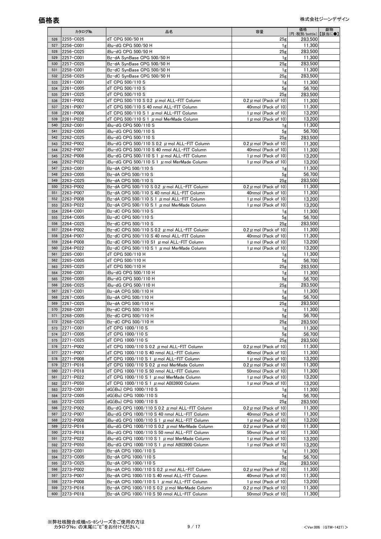|            | カタログNo.                | 品名                                                                                                     | 容量                                                     | 価格<br>(円:税別/bottle) 【該当に●】 | 劇物 |
|------------|------------------------|--------------------------------------------------------------------------------------------------------|--------------------------------------------------------|----------------------------|----|
| 526        | 2255-C025              | dT CPG 500/50 H                                                                                        | 25 <sub>g</sub>                                        | 283,500                    |    |
| 527        | 2256-C001              | iBu-dG CPG 500/50 H                                                                                    | 1g                                                     | 11.300                     |    |
| 528        | 2256-C025              | iBu-dG CPG 500/50 H                                                                                    | 25g                                                    | 283,500                    |    |
| 529        | 2257-C001              | Bz-dA SynBase CPG 500/50 H                                                                             | 1g                                                     | 11,300                     |    |
| 530        | 2257-C025              | Bz-dA SvnBase CPG 500/50 H                                                                             | 25g                                                    | 283,500                    |    |
| 531        | 2258-C001              | Bz-dC SynBase CPG 500/50 H                                                                             | 1g                                                     | 11,300                     |    |
| 532        | 2258-C025              | Bz-dC SynBase CPG 500/50 H                                                                             | 25 <sub>g</sub>                                        | 283.500                    |    |
| 533<br>534 | 2261-C001<br>2261-C005 | dT CPG 500/110 S<br>dT CPG 500/110 S                                                                   | 1g<br>5 <sub>g</sub>                                   | 11,300<br>56,700           |    |
| 535        | 2261-C025              | dT CPG 500/110 S                                                                                       | 25g                                                    | 283,500                    |    |
| 536        | 2261-P002              | dT CPG 500/110 S 0.2 $\mu$ mol ALL-FIT Column                                                          | 0.2 $\mu$ mol (Pack of 10)                             | 11,300                     |    |
| 537        | 2261-P007              | dT CPG 500/110 S 40 nmol ALL-FIT Column                                                                | 40nmol (Pack of 10)                                    | 11,300                     |    |
| 538        | 2261-P008              | dT CPG 500/110 S 1 $\mu$ mol ALL-FIT Column                                                            | 1 $\mu$ mol (Pack of 10)                               | 13,200                     |    |
| 539        | 2261-P022              | dT CPG 500/110 S 1 $\mu$ mol MerMade Column                                                            | 1 $\mu$ mol (Pack of 10)                               | 13,200                     |    |
| 540        | 2262-C001              | iBu-dG CPG 500/110 S                                                                                   | 1g                                                     | 11,300                     |    |
| 541        | 2262-C005              | iBu-dG CPG 500/110 S                                                                                   | 5 <sub>g</sub>                                         | 56,700                     |    |
| 542        | 2262-C025              | iBu-dG CPG 500/110 S                                                                                   | 25 <sub>g</sub>                                        | 283,500                    |    |
| 543<br>544 | 2262-P002<br>2262-P007 | iBu-dG CPG 500/110 S 0.2 $\mu$ mol ALL-FIT Column<br>iBu-dG CPG 500/110 S 40 nmol ALL-FIT Column       | 0.2 $\mu$ mol (Pack of 10)<br>40nmol (Pack of 10)      | 11,300<br>11,300           |    |
| 545        | 2262-P008              | iBu-dG CPG 500/110 S 1 $\,\mu$ mol ALL-FIT Column                                                      | 1 $\mu$ mol (Pack of 10)                               | 13,200                     |    |
| 546        | 2262-P022              | iBu-dG CPG 500/110 S 1 $\,\mu$ mol MerMade Column                                                      | 1 $\mu$ mol (Pack of 10)                               | 13,200                     |    |
| 547        | 2263-C001              | Bz-dA CPG 500/110 S                                                                                    | 1g                                                     | 11.300                     |    |
| 548        | 2263-C005              | Bz-dA CPG 500/110 S                                                                                    | 5 <sub>g</sub>                                         | 56,700                     |    |
| 549        | 2263-C025              | Bz-dA CPG 500/110 S                                                                                    | 25g                                                    | 283,500                    |    |
| 550        | 2263-P002              | Bz-dA CPG 500/110 S 0.2 $\mu$ mol ALL-FIT Column                                                       | 0.2 $\mu$ mol (Pack of 10)                             | 11,300                     |    |
| 551        | 2263-P007              | Bz-dA CPG 500/110 S 40 nmol ALL-FIT Column                                                             | 40nmol (Pack of 10)                                    | 11,300                     |    |
| 552        | 2263-P008              | Bz-dA CPG 500/110 S 1 $\mu$ mol ALL-FIT Column                                                         | 1 $\mu$ mol (Pack of 10)                               | 13.200                     |    |
| 553<br>554 | 2263-P022<br>2264-C001 | Bz-dA CPG 500/110 S 1 $\mu$ mol MerMade Column<br>Bz-dC CPG 500/110 S                                  | 1 $\mu$ mol (Pack of 10)                               | 13,200<br>11,300           |    |
| 555        | 2264-C005              | Bz-dC CPG 500/110 S                                                                                    | 1g<br>5 <sub>g</sub>                                   | 56.700                     |    |
| 556        | 2264-C025              | Bz-dC CPG 500/110 S                                                                                    | 25g                                                    | 283,500                    |    |
| 557        | 2264-P002              | Bz-dC CPG 500/110 S 0.2 $\mu$ mol ALL-FIT Column                                                       | 0.2 $\mu$ mol (Pack of 10)                             | 11.300                     |    |
| 558        | 2264-P007              | Bz-dC CPG 500/110 S 40 nmol ALL-FIT Column                                                             | 40nmol (Pack of 10)                                    | 11,300                     |    |
| 559        | 2264-P008              | Bz-dC CPG 500/110 S1 $\mu$ mol ALL-FIT Column                                                          | 1 $\mu$ mol (Pack of 10)                               | 13,200                     |    |
| 560        | 2264-P022              | Bz-dC CPG 500/110 S 1 $\mu$ mol MerMade Column                                                         | 1 $\mu$ mol (Pack of 10)                               | 13,200                     |    |
| 561        | 2265-C001<br>2265-C005 | dT CPG 500/110 H<br>dT CPG 500/110 H                                                                   | 1g                                                     | 11,300<br>56,700           |    |
| 562<br>563 | 2265-C025              | dT CPG 500/110 H                                                                                       | 5 <sub>g</sub><br>25 <sub>g</sub>                      | 283,500                    |    |
| 564        | 2266-C001              | iBu-dG CPG 500/110 H                                                                                   | 1g                                                     | 11,300                     |    |
| 565        | 2266-C005              | iBu-dG CPG 500/110 H                                                                                   | 5 <sub>g</sub>                                         | 56,700                     |    |
| 566        | 2266-C025              | iBu-dG CPG 500/110 H                                                                                   | 25 <sub>g</sub>                                        | 283,500                    |    |
| 567        | 2267-C001              | Bz-dA CPG 500/110 H                                                                                    | 1g                                                     | 11,300                     |    |
| 568        | 2267-C005              | Bz-dA CPG 500/110 H                                                                                    | 5 <sub>g</sub>                                         | 56,700                     |    |
| 569<br>570 | 2267-C025<br>2268-C001 | Bz-dA CPG 500/110 H<br>Bz-dC CPG 500/110 H                                                             | 25 <sub>g</sub>                                        | 283,500<br>11,300          |    |
| 571        | 2268-C005              | Bz-dC CPG 500/110 H                                                                                    | 1g<br>5g                                               | 56,700                     |    |
| 572        | 2268-C025              | Bz-dC CPG 500/110 H                                                                                    | 25g                                                    | 283,500                    |    |
| 573        | 2271-C001              | dT CPG 1000/110 S                                                                                      | 1g                                                     | 11,300                     |    |
| 574        | 2271-C005              | dT CPG 1000/110 S                                                                                      | 5 <sub>g</sub>                                         | 56.700                     |    |
| 575        | 2271-C025              | dT CPG 1000/110 S                                                                                      | 25g                                                    | 283,500                    |    |
| 576        | 2271-P002              | dT CPG 1000/110 S 0.2 $\mu$ mol ALL-FIT Column                                                         | 0.2 $\mu$ mol (Pack of 10)                             | 11.300                     |    |
| 577        | 2271-P007              | dT CPG 1000/110 S 40 nmol ALL-FIT Column                                                               | 40nmol (Pack of 10)                                    | 11.300                     |    |
| 578        | 2271-P008              | dT CPG 1000/110 S 1 $\mu$ mol ALL-FIT Column                                                           | 1 $\mu$ mol (Pack of 10)                               | 13,200                     |    |
| 579<br>580 | 2271-P016<br>2271-P018 | dT CPG 1000/110 S 0.2 $\mu$ mol MerMade Column<br>dT CPG 1000/110 S 50 nmol ALL-FIT Column             | 0.2 $\mu$ mol (Pack of 10)<br>50nmol (Pack of 10)      | 11,300<br>11,300           |    |
| 581        | 2271-P022              | dT CPG 1000/110 S 1 $\mu$ mol MerMade Column                                                           | 1 $\mu$ mol (Pack of 10)                               | 13.200                     |    |
| 582        | 2271-P050              | dT CPG 1000/110 S 1 $\mu$ mol ABI3900 Column                                                           | 1 $\mu$ mol (Pack of 10)                               | 13.200                     |    |
| 583        | 2272-C001              | dG(iBu) CPG 1000/110 S                                                                                 | 1g                                                     | 11,300                     |    |
| 584        | 2272-C005              | dG(iBu) CPG 1000/110 S                                                                                 | 5 <sub>g</sub>                                         | 56,700                     |    |
| 585        | 2272-C025              | dG(iBu) CPG 1000/110 S                                                                                 | 25 <sub>g</sub>                                        | 283,500                    |    |
| 586        | 2272-P002              | iBu-dG CPG 1000/110 S 0.2 $\,\mu$ mol ALL-FIT Column                                                   | 0.2 $\mu$ mol (Pack of 10)                             | 11,300                     |    |
| 587        | 2272-P007              | iBu-dG CPG 1000/110 S 40 nmol ALL-FIT Column                                                           | 40nmol (Pack of 10)                                    | 11.300                     |    |
| 588<br>589 | 2272-P008<br>2272-P016 | iBu-dG CPG 1000/110 S 1 $\mu$ mol ALL-FIT Column<br>iBu-dG CPG 1000/110 S 0.2 $\mu$ mol MerMade Column | 1 $\mu$ mol (Pack of 10)<br>0.2 $\mu$ mol (Pack of 10) | 13,200<br>11,300           |    |
| 590        | 2272-P018              | iBu-dG CPG 1000/110 S 50 nmol ALL-FIT Column                                                           | 50nmol (Pack of 10)                                    | 11,300                     |    |
| 591        | 2272-P022              | iBu-dG CPG 1000/110 S 1 $\,\mu$ mol MerMade Column                                                     | 1 $\mu$ mol (Pack of 10)                               | 13,200                     |    |
| 592        | 2272-P050              | iBu-dG CPG 1000/110 S 1 $\mu$ mol ABI3900 Column                                                       | 1 $\mu$ mol (Pack of 10)                               | 13,200                     |    |
| 593        | 2273-C001              | Bz-dA CPG 1000/110 S                                                                                   | 1g                                                     | 11,300                     |    |
| 594        | 2273-C005              | Bz-dA CPG 1000/110 S                                                                                   | 5 <sub>g</sub>                                         | 56.700                     |    |
| 595        | 2273-C025              | Bz-dA CPG 1000/110 S                                                                                   | 25g                                                    | 283,500                    |    |
| 596        | 2273-P002              | Bz-dA CPG 1000/110 S 0.2 $\mu$ mol ALL-FIT Column                                                      | 0.2 $\mu$ mol (Pack of 10)                             | 11,300                     |    |
| 597<br>598 | 2273-P007<br>2273-P008 | Bz-dA CPG 1000/110 S 40 nmol ALL-FIT Column                                                            | 40nmol (Pack of 10)                                    | 11,300                     |    |
| 599        | 2273-P016              | Bz-dA CPG 1000/110 S 1 $\mu$ mol ALL-FIT Column<br>Bz-dA CPG 1000/110 S 0.2 $\mu$ mol MerMade Column   | 1 $\mu$ mol (Pack of 10)<br>0.2 $\mu$ mol (Pack of 10) | 13,200<br>11,300           |    |
| 600        | 2273-P018              | Bz-dA CPG 1000/110 S 50 nmol ALL-FIT Column                                                            | 50nmol (Pack of 10)                                    | 11,300                     |    |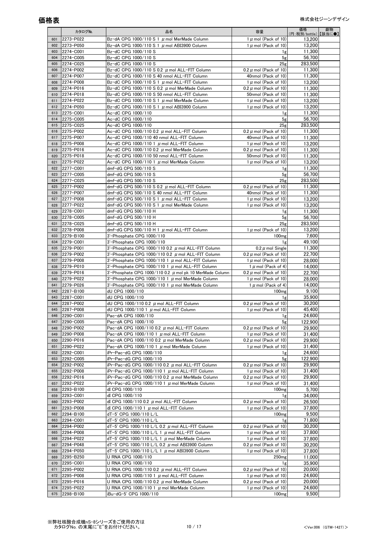|     | カタログNo.   | 品名                                                           | 容量                         | 価格<br>(円:税別/bottle) 【該当に●】 | 劇物 |
|-----|-----------|--------------------------------------------------------------|----------------------------|----------------------------|----|
| 601 | 2273-P022 | Bz-dA CPG 1000/110 S 1 $\,\mu$ mol MerMade Column            | 1 $\mu$ mol (Pack of 10)   | 13,200                     |    |
| 602 | 2273-P050 | Bz-dA CPG 1000/110 S 1 $\mu$ mol ABI3900 Column              | 1 $\mu$ mol (Pack of 10)   | 13.200                     |    |
| 603 | 2274-C001 | Bz-dC CPG 1000/110 S                                         | 1g                         | 11,300                     |    |
| 604 | 2274-C005 | Bz-dC CPG 1000/110 S                                         | 5g                         | 56.700                     |    |
| 605 | 2274-C025 | Bz-dC CPG 1000/110 S                                         | 25g                        | 283,500                    |    |
| 606 | 2274-P002 | Bz-dC CPG 1000/110 S 0.2 $\mu$ mol ALL-FIT Column            | 0.2 $\mu$ mol (Pack of 10) | 11.300                     |    |
| 607 | 2274-P007 | Bz-dC CPG 1000/110 S 40 nmol ALL-FIT Column                  | 40nmol (Pack of 10)        | 11,300                     |    |
| 608 | 2274-P008 | Bz-dC CPG 1000/110 S 1 $\mu$ mol ALL-FIT Column              | 1 $\mu$ mol (Pack of 10)   | 13,200                     |    |
| 609 | 2274-P016 | Bz-dC CPG 1000/110 S 0.2 $\,\mu$ mol MerMade Column          | $0.2 \mu$ mol (Pack of 10) | 11.300                     |    |
| 610 | 2274-P018 | Bz-dC CPG 1000/110 S 50 nmol ALL-FIT Column                  | 50nmol (Pack of 10)        | 11,300                     |    |
| 611 | 2274-P022 | Bz-dC CPG 1000/110 S 1 $\,\mu$ mol MerMade Column            | 1 $\mu$ mol (Pack of 10)   | 13,200                     |    |
| 612 | 2274-P050 | Bz-dC CPG 1000/110 S 1 $\mu$ mol ABI3900 Column              | 1 $\mu$ mol (Pack of 10)   | 13,200                     |    |
| 613 | 2275-C001 | Ac-dC CPG 1000/110                                           | 1g                         | 11,300                     |    |
| 614 | 2275-C005 | Ac-dC CPG 1000/110                                           | 5g                         | 56.700                     |    |
| 615 | 2275-C025 | Ac-dC CPG 1000/110                                           | 25 <sub>g</sub>            | 283,500                    |    |
| 616 | 2275-P002 | Ac-dC CPG 1000/110 0.2 $\mu$ mol ALL-FIT Column              | 0.2 $\mu$ mol (Pack of 10) | 11,300                     |    |
| 617 | 2275-P007 | Ac-dC CPG 1000/110 40 nmol ALL-FIT Column                    | 40nmol (Pack of 10)        | 11,300                     |    |
| 618 | 2275-P008 | Ac-dC CPG 1000/110 1 $\mu$ mol ALL-FIT Column                | 1 $\mu$ mol (Pack of 10)   | 13,200                     |    |
| 619 | 2275-P016 | Ac-dC CPG 1000/110 0.2 $\mu$ mol MerMade Column              | 0.2 $\mu$ mol (Pack of 10) | 11,300                     |    |
| 620 | 2275-P018 | Ac-dC CPG 1000/110 50 nmol ALL-FIT Column                    | 50nmol (Pack of 10)        | 11,300                     |    |
| 621 | 2275-P022 | Ac-dC CPG 1000/110 1 $\mu$ mol MerMade Column                | 1 $\mu$ mol (Pack of 10)   | 13,200                     |    |
| 622 | 2277-C001 | dmf-dG CPG 500/110 S                                         | 1g                         | 11.300                     |    |
| 623 | 2277-C005 | dmf-dG CPG 500/110 S                                         | 5g                         | 56,700                     |    |
| 624 | 2277-C025 | dmf-dG CPG 500/110 S                                         | 25g                        | 283,500                    |    |
| 625 | 2277-P002 | dmf-dG CPG 500/110 S 0.2 $\mu$ mol ALL-FIT Column            | 0.2 $\mu$ mol (Pack of 10) | 11,300                     |    |
| 626 | 2277-P007 | dmf-dG CPG 500/110 S 40 nmol ALL-FIT Column                  | 40nmol (Pack of 10)        | 11,300                     |    |
| 627 | 2277-P008 | dmf-dG CPG $500/110$ S 1 $\mu$ mol ALL-FIT Column            | 1 $\mu$ mol (Pack of 10)   | 13,200                     |    |
| 628 | 2277-P022 | dmf-dG CPG 500/110 S 1 $\mu$ mol MerMade Column              | 1 $\mu$ mol (Pack of 10)   | 13,200                     |    |
| 629 | 2278-C001 | dmf-dG CPG 500/110 H                                         | 1g                         | 11.300                     |    |
| 630 | 2278-C005 | dmf-dG CPG 500/110 H                                         | 5g                         | 56,700                     |    |
| 631 | 2278-C025 | dmf-dG CPG 500/110 H                                         | 25g                        | 283,500                    |    |
| 632 | 2278-P008 | dmf-dG CPG 500/110 H 1 $\mu$ mol ALL-FIT Column              | 1 $\mu$ mol (Pack of 10)   | 13,200                     |    |
| 633 | 2279-B100 | 3'-Phosphate CPG 1000/110                                    | 100 <sub>mg</sub>          | 7,600                      |    |
| 634 | 2279-C001 | 3'-Phosphate CPG 1000/110                                    | 1g                         | 49.100                     |    |
| 635 | 2279-P001 | 3'-Phosphate CPG 1000/110 0.2 $\mu$ mol ALL-FIT Column       | 0.2 $\mu$ mol Single       | 11,300                     |    |
| 636 | 2279-P002 | 3'-Phosphate CPG 1000/110 0.2 $\mu$ mol ALL-FIT Column       | 0.2 $\mu$ mol (Pack of 10) | 22,700                     |    |
| 637 | 2279-P008 | 3'-Phosphate CPG 1000/110 1 $\mu$ mol ALL-FIT Column         | 1 $\mu$ mol (Pack of 10)   | 28,000                     |    |
| 638 | 2279-P010 | 3'-Phosphate CPG 1000/110 1 $\mu$ mol ALL-FIT Column         | 1 $\mu$ mol (Pack of 4)    | 14,000                     |    |
| 639 | 2279-P016 | 3'-Phosphate CPG 1000/110 0.2 $\mu$ mol pk 10 MerMade Column | 0.2 $\mu$ mol (Pack of 10) | 22,700                     |    |
| 640 | 2279-P022 | 3'-Phosphate CPG 1000/110 1 $\mu$ mol MerMade Column         | 1 $\mu$ mol (Pack of 10)   | 28,000                     |    |
| 641 | 2279-P026 | 3'-Phosphate CPG 1000/110 1 $\mu$ mol MerMade Column         | 1 $\mu$ mol (Pack of 4)    | 14,000                     |    |
| 642 | 2287-B100 | dU CPG 1000/110                                              | 100 <sub>mg</sub>          | 9,100                      |    |
| 643 | 2287-C001 | dU CPG 1000/110                                              | 1g                         | 35,900                     |    |
| 644 | 2287-P002 | dU CPG 1000/110 0.2 $\mu$ mol ALL-FIT Column                 | 0.2 $\mu$ mol (Pack of 10) | 30.200                     |    |
| 645 | 2287-P008 | dU CPG 1000/110 1 $\mu$ mol ALL-FIT Column                   | 1 $\mu$ mol (Pack of 10)   | 45,400                     |    |
| 646 | 2290-C001 | Pac-dA CPG 1000/110                                          | 1g                         | 24,600                     |    |
| 647 | 2290-C005 | Pac-dA CPG 1000/110                                          | 5g                         | 122,900                    |    |
| 648 | 2290-P002 | Pac-dA CPG 1000/110 0.2 $\mu$ mol ALL-FIT Column             | 0.2 $\mu$ mol (Pack of 10) | 29.900                     |    |
| 649 | 2290-P008 | Pac-dA CPG 1000/110 1 µ mol ALL-FIT Column                   | 1 $\mu$ mol (Pack of 10)   | 31,400                     |    |
| 650 | 2290-P016 | Pac-dA CPG 1000/110 0.2 $\mu$ mol MerMade Column             | 0.2 $\mu$ mol (Pack of 10) | 29,900                     |    |
| 651 | 2290-P022 | Pac-dA CPG 1000/110 1 $\mu$ mol MerMade Column               | 1 $\mu$ mol (Pack of 10)   | 31.400                     |    |
| 652 | 2292-C001 | iPr-Pac-dG CPG 1000/110                                      | 1g                         | 24,600                     |    |
| 653 | 2292-C005 | iPr-Pac-dG CPG 1000/110                                      | 5g                         | 122,900                    |    |
| 654 | 2292-P002 | iPr-Pac-dG CPG 1000/110 0.2 $\,\mu$ mol ALL-FIT Column       | 0.2 $\mu$ mol (Pack of 10) | 29,900                     |    |
| 655 | 2292-P008 | iPr-Pac-dG CPG 1000/110 1 $\,\mu$ mol ALL-FIT Column         | 1 $\mu$ mol (Pack of 10)   | 31,400                     |    |
| 656 | 2292-P016 | iPr-Pac-dG CPG 1000/110 0.2 $\mu$ mol MerMade Column         | 0.2 $\mu$ mol (Pack of 10) | 29,900                     |    |
| 657 | 2292-P022 | iPr-Pac-dG CPG 1000/110 1 $\,\mu$ mol MerMade Column         | 1 $\mu$ mol (Pack of 10)   | 31,400                     |    |
| 658 | 2293-B100 | dI CPG 1000/110                                              | 100 <sub>mg</sub>          | 5,700                      |    |
| 659 | 2293-C001 | dI CPG 1000/110                                              | 1g                         | 34.000                     |    |
| 660 | 2293-P002 | dI CPG 1000/110 0.2 $\mu$ mol ALL-FIT Column                 | 0.2 $\mu$ mol (Pack of 10) | 26,500                     |    |
| 661 | 2293-P008 | dI CPG 1000/110 1 $\mu$ mol ALL-FIT Column                   | 1 $\mu$ mol (Pack of 10)   | 37,800                     |    |
| 662 | 2294-B100 | dT-5' CPG 1000/110 L/L                                       | 100 <sub>mg</sub>          | 9,500                      |    |
| 663 | 2294-C001 | dT-5' CPG 1000/110 L/L                                       | 1g                         | 71,800                     |    |
| 664 | 2294-P002 | dT-5' CPG 1000/110 L/L 0.2 $\,\mu$ mol ALL-FIT Column        | 0.2 $\mu$ mol (Pack of 10) | 30,200                     |    |
| 665 | 2294-P008 | dT-5' CPG 1000/110 L/L 1 $\mu$ mol ALL-FIT Column            | 1 $\mu$ mol (Pack of 10)   | 37,800                     |    |
| 666 | 2294-P022 | dT-5' CPG 1000/110 L/L 1 $\,\mu$ mol MerMade Column          | 1 $\mu$ mol (Pack of 10)   | 37,800                     |    |
| 667 | 2294-P048 | dT-5' CPG 1000/110 L/L 0.2 $\mu$ mol ABI3900 Column          | 0.2 $\mu$ mol (Pack of 10) | 30,200                     |    |
| 668 | 2294-P050 | dT-5' CPG 1000/110 L/L 1 $\mu$ mol ABI3900 Column            | 1 $\mu$ mol (Pack of 10)   | 37,800                     |    |
| 669 | 2295-B250 | U RNA CPG 1000/110                                           | 250 <sub>mg</sub>          | 11,000                     |    |
| 670 | 2295-C001 | U RNA CPG 1000/110                                           | 1g                         | 35,900                     |    |
| 671 | 2295-P002 | U RNA CPG 1000/110 0.2 $\mu$ mol ALL-FIT Column              | 0.2 $\mu$ mol (Pack of 10) | 20,000                     |    |
| 672 | 2295-P008 | U RNA CPG 1000/110 1 $\mu$ mol ALL-FIT Column                | 1 $\mu$ mol (Pack of 10)   | 24,600                     |    |
| 673 | 2295-P016 | U RNA CPG 1000/110 0.2 $\mu$ mol MerMade Column              | 0.2 $\mu$ mol (Pack of 10) | 20,000                     |    |
| 674 | 2295-P022 | U RNA CPG 1000/110 1 $\mu$ mol MerMade Column                | 1 $\mu$ mol (Pack of 10)   | 24,600                     |    |
| 675 | 2298-B100 | iBu-dG-5' CPG 1000/110                                       | 100 <sub>mg</sub>          | 9,500                      |    |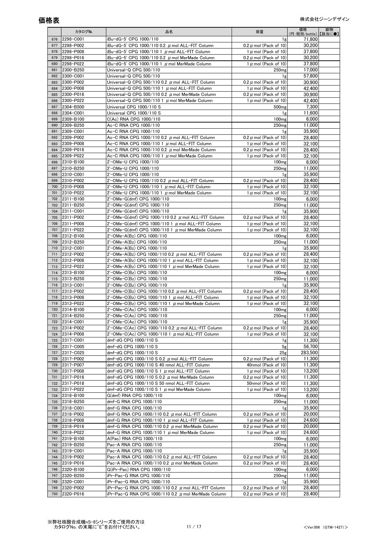|            | カタログNo.                | 品名                                                                                                           | 容量                                                     | 価格<br>(円:税別/bottle)【該当に●】 | 劇物 |
|------------|------------------------|--------------------------------------------------------------------------------------------------------------|--------------------------------------------------------|---------------------------|----|
| 676        | 2298-C001              | iBu-dG-5' CPG 1000/110                                                                                       | 1g                                                     | 71,800                    |    |
| 677        | 2298-P002              | iBu-dG-5' CPG 1000/110 0.2 $\mu$ mol ALL-FIT Column                                                          | 0.2 $\mu$ mol (Pack of 10)                             | 30.200                    |    |
| 678        | 2298-P008              | iBu-dG-5' CPG 1000/110 1 $\mu$ mol ALL-FIT Column                                                            | 1 $\mu$ mol (Pack of 10)                               | 37,800                    |    |
| 679        | 2298-P016              | iBu-dG-5' CPG 1000/110 0.2 $\mu$ mol MerMade Column                                                          | $0.2 \mu$ mol (Pack of 10)                             | 30,200                    |    |
| 680        | 2298-P022              | iBu-dG-5' CPG 1000/110 1 $\mu$ mol MerMade Column                                                            | 1 $\mu$ mol (Pack of 10)                               | 37.800                    |    |
| 681        | 2300-B250              | Universal-Q CPG 500/110                                                                                      | 250 <sub>mg</sub>                                      | 17.000                    |    |
| 682        | 2300-C001              | Universal-Q CPG 500/110                                                                                      | 1g                                                     | 57,800                    |    |
| 683<br>684 | 2300-P002<br>2300-P008 | Universal-Q CPG 500/110 0.2 $\mu$ mol ALL-FIT Column<br>Universal-Q CPG 500/110 1 $\mu$ mol ALL-FIT Column   | 0.2 $\mu$ mol (Pack of 10)<br>1 $\mu$ mol (Pack of 10) | 30.900<br>42,400          |    |
| 685        | 2300-P016              | Universal-Q CPG 500/110 0.2 $\mu$ mol MerMade Column                                                         | 0.2 $\mu$ mol (Pack of 10)                             | 30.900                    |    |
| 686        | 2300-P022              | Universal-Q CPG 500/110 1 $\mu$ mol MerMade Column                                                           | $1 \mu$ mol (Pack of 10)                               | 42,400                    |    |
| 687        | 2304-B500              | Universal CPG 1000/110 S                                                                                     | 500 <sub>mg</sub>                                      | 7,300                     |    |
| 688        | 2304-C001              | Universal CPG 1000/110 S                                                                                     | 1g                                                     | 11.600                    |    |
| 689        | 2309-B100              | C(Ac) RNA CPG 1000/110                                                                                       | 100 <sub>mg</sub>                                      | 6,000                     |    |
| 690        | 2309-B250              | Ac-C RNA CPG 1000/110                                                                                        | 250 <sub>mg</sub>                                      | 11.000                    |    |
| 691        | 2309-C001              | Ac-C RNA CPG 1000/110                                                                                        | 1g                                                     | 35,900                    |    |
| 692        | 2309-P002              | Ac-C RNA CPG 1000/110 0.2 $\mu$ mol ALL-FIT Column                                                           | 0.2 $\mu$ mol (Pack of 10)                             | 28,400                    |    |
| 693        | 2309-P008              | Ac-C RNA CPG 1000/110 1 $\mu$ mol ALL-FIT Column                                                             | 1 $\mu$ mol (Pack of 10)                               | 32.100                    |    |
| 694<br>695 | 2309-P016<br>2309-P022 | Ac-C RNA CPG 1000/110 0.2 $\,\mu$ mol MerMade Column<br>Ac-C RNA CPG 1000/110 1 $\,\mu$ mol MerMade Column   | 0.2 $\mu$ mol (Pack of 10)<br>1 $\mu$ mol (Pack of 10) | 28,400<br>32,100          |    |
| 696        | 2310-B100              | 2'-OMe-U CPG 1000/110                                                                                        | 100 <sub>mg</sub>                                      | 6.000                     |    |
| 697        | 2310-B250              | 2'-OMe-U CPG 1000/110                                                                                        | 250 <sub>mg</sub>                                      | 11,000                    |    |
| 698        | 2310-C001              | 2'-OMe-U CPG 1000/110                                                                                        | 1g                                                     | 35.900                    |    |
| 699        | 2310-P002              | 2'-OMe-U CPG 1000/110 0.2 $\mu$ mol ALL-FIT Column                                                           | 0.2 $\mu$ mol (Pack of 10)                             | 28,400                    |    |
| 700        | 2310-P008              | 2'-OMe-U CPG 1000/110 1 $\mu$ mol ALL-FIT Column                                                             | 1 $\mu$ mol (Pack of 10)                               | 32,100                    |    |
| 701        | 2310-P022              | 2'-OMe-U CPG 1000/110 1 $\mu$ mol MerMade Column                                                             | 1 $\mu$ mol (Pack of 10)                               | 32.100                    |    |
| 702        | 2311-B100              | 2'-OMe-G(dmf) CPG 1000/110                                                                                   | 100 <sub>mg</sub>                                      | 6,000                     |    |
| 703        | 2311-B250              | 2'-OMe-G(dmf) CPG 1000/110                                                                                   | 250 <sub>mg</sub>                                      | 11.000                    |    |
| 704        | 2311-C001              | 2'-OMe-G(dmf) CPG 1000/110                                                                                   | 1g                                                     | 35,900                    |    |
| 705        | 2311-P002              | 2'-OMe-G(dmf) CPG 1000/110 0.2 $\mu$ mol ALL-FIT Column                                                      | 0.2 $\mu$ mol (Pack of 10)                             | 28,400                    |    |
| 706<br>707 | 2311-P008              | 2'-OMe-G(dmf) CPG 1000/110 1 $\mu$ mol ALL-FIT Column                                                        | 1 $\mu$ mol (Pack of 10)                               | 32,100                    |    |
| 708        | 2311-P022<br>2312-B100 | 2'-OMe-G(dmf) CPG 1000/110 1 $\mu$ mol MerMade Column<br>2'-OMe-A(Bz) CPG 1000/110                           | 1 $\mu$ mol (Pack of 10)<br>100 <sub>mg</sub>          | 32,100<br>6.000           |    |
| 709        | 2312-B250              | 2'-OMe-A(Bz) CPG 1000/110                                                                                    | 250 <sub>mg</sub>                                      | 11,000                    |    |
| 710        | 2312-C001              | 2'-OMe-A(Bz) CPG 1000/110                                                                                    | 1g                                                     | 35,900                    |    |
| 711        | 2312-P002              | 2'-OMe-A(Bz) CPG 1000/110 0.2 $\mu$ mol ALL-FIT Column                                                       | 0.2 $\mu$ mol (Pack of 10)                             | 28,400                    |    |
| 712        | 2312-P008              | 2'-OMe-A(Bz) CPG 1000/110 1 $\mu$ mol ALL-FIT Column                                                         | 1 $\mu$ mol (Pack of 10)                               | 32,100                    |    |
| 713        | 2312-P022              | 2'-OMe-A(Bz) CPG 1000/110 1 $\mu$ mol MerMade Column                                                         | 1 $\mu$ mol (Pack of 10)                               | 32.100                    |    |
| 714        | 2313-B100              | 2'-OMe-C(Bz) CPG 1000/110                                                                                    | 100 <sub>mg</sub>                                      | 6,000                     |    |
| 715        | 2313-B250              | 2'-OMe-C(Bz) CPG 1000/110                                                                                    | 250 <sub>mg</sub>                                      | 11,000                    |    |
| 716        | 2313-C001              | 2'-OMe-C(Bz) CPG 1000/110                                                                                    | 1g                                                     | 35,900                    |    |
| 717        | 2313-P002              | 2'-OMe-C(Bz) CPG 1000/110 0.2 $\mu$ mol ALL-FIT Column                                                       | 0.2 $\mu$ mol (Pack of 10)                             | 28,400                    |    |
| 718<br>719 | 2313-P008<br>2313-P022 | 2'-OMe-C(Bz) CPG 1000/110 1 $\mu$ mol ALL-FIT Column<br>2'-OMe-C(Bz) CPG 1000/110 1 $\mu$ mol MerMade Column | 1 $\mu$ mol (Pack of 10)<br>1 $\mu$ mol (Pack of 10)   | 32.100<br>32,100          |    |
| 720        | 2314-B100              | 2'-OMe-C(Ac) CPG 1000/110                                                                                    | 100 <sub>mg</sub>                                      | 6,000                     |    |
| 721        | 2314-B250              | 2'-OMe-C(Ac) CPG 1000/110                                                                                    | 250 <sub>mg</sub>                                      | 11.000                    |    |
| 722        | 2314-C001              | 2'-OMe-C(Ac) CPG 1000/110                                                                                    | 1g                                                     | 35,900                    |    |
| 723        | 2314-P002              | 2'-OMe-C(Ac) CPG 1000/110 0.2 $\mu$ mol ALL-FIT Column                                                       | 0.2 $\mu$ mol (Pack of 10)                             | 28,400                    |    |
| 724        | 2314-P008              | 2'-OMe-C(Ac) CPG 1000/110 1 $\mu$ mol ALL-FIT Column                                                         | $1 \mu$ mol (Pack of 10)                               | 32,100                    |    |
| 725        | 2317-C001              | dmf-dG CPG 1000/110 S                                                                                        | 1g                                                     | 11.300                    |    |
| 726        | 2317-C005              | dmf-dG CPG 1000/110 S                                                                                        | 5 <sub>g</sub>                                         | 56,700                    |    |
| 727        | 2317-C025              | dmf-dG CPG 1000/110 S                                                                                        | 25 <sub>g</sub>                                        | 283,500                   |    |
| 728        | 2317-P002              | dmf-dG CPG 1000/110 S 0.2 $\mu$ mol ALL-FIT Column                                                           | 0.2 $\mu$ mol (Pack of 10)                             | 11,300                    |    |
| 729<br>730 | 2317-P007<br>2317-P008 | dmf-dG CPG 1000/110 S 40 nmol ALL-FIT Column<br>dmf-dG CPG 1000/110 S 1 $\mu$ mol ALL-FIT Column             | 40nmol (Pack of 10)<br>1 $\mu$ mol (Pack of 10)        | 11,300<br>13,200          |    |
| 731        | 2317-P016              | dmf-dG CPG 1000/110 S 0.2 $\mu$ mol MerMade Column                                                           | 0.2 $\mu$ mol (Pack of 10)                             | 11.300                    |    |
| 732        | 2317-P018              | dmf-dG CPG 1000/110 S 50 nmol ALL-FIT Column                                                                 | 50nmol (Pack of 10)                                    | 11,300                    |    |
| 733        | 2317-P022              | dmf-dG CPG 1000/110 S 1 $\mu$ mol MerMade Column                                                             | 1 $\mu$ mol (Pack of 10)                               | 13.200                    |    |
| 734        | 2318-B100              | G(dmf) RNA CPG 1000/110                                                                                      | 100 <sub>mg</sub>                                      | 6,000                     |    |
| 735        | 2318-B250              | dmf-G RNA CPG 1000/110                                                                                       | 250 <sub>mg</sub>                                      | 11,000                    |    |
| 736        | 2318-C001              | dmf-G RNA CPG 1000/110                                                                                       | 1g                                                     | 35,900                    |    |
| 737        | 2318-P002              | dmf-G RNA CPG 1000/110 0.2 $\mu$ mol ALL-FIT Column                                                          | 0.2 $\mu$ mol (Pack of 10)                             | 20,000                    |    |
| 738        | 2318-P008              | dmf-G RNA CPG 1000/110 1 $\mu$ mol ALL-FIT Column                                                            | 1 $\mu$ mol (Pack of 10)                               | 24,600                    |    |
| 739        | 2318-P016              | dmf-G RNA CPG 1000/110 0.2 $\mu$ mol MerMade Column                                                          | 0.2 $\mu$ mol (Pack of 10)                             | 20,000                    |    |
| 740<br>741 | 2318-P022<br>2319-B100 | dmf-G RNA CPG 1000/110 1 $\mu$ mol MerMade Column<br>A(Pac) RNA CPG 1000/110                                 | 1 $\mu$ mol (Pack of 10)<br>100 <sub>mg</sub>          | 24,600<br>6,000           |    |
| 742        | 2319-B250              | Pac-A RNA CPG 1000/110                                                                                       | 250 <sub>mg</sub>                                      | 11,000                    |    |
| 743        | 2319-C001              | Pac-A RNA CPG 1000/110                                                                                       | 1g                                                     | 35,900                    |    |
| 744        | 2319-P002              | Pac-A RNA CPG 1000/110 0.2 $\mu$ mol ALL-FIT Column                                                          | 0.2 $\mu$ mol (Pack of 10)                             | 28,400                    |    |
| 745        | 2319-P016              | Pac-A RNA CPG 1000/110 0.2 $\mu$ mol MerMade Column                                                          | 0.2 $\mu$ mol (Pack of 10)                             | 28,400                    |    |
| 746        | 2320-B100              | G(iPr-Pac) RNA CPG 1000/110                                                                                  | 100 <sub>mg</sub>                                      | 6,000                     |    |
| 747        | 2320-B250              | iPr-Pac-G RNA CPG 1000/110                                                                                   | 250 <sub>mg</sub>                                      | 11,000                    |    |
| 748        | 2320-C001              | iPr-Pac-G RNA CPG 1000/110                                                                                   | 1g                                                     | 35,900                    |    |
| 749        | 2320-P002              | iPr-Pac-G RNA CPG 1000/110 0.2 $\mu$ mol ALL-FIT Column                                                      | 0.2 $\mu$ mol (Pack of 10)                             | 28,400                    |    |
| 750        | 2320-P016              | iPr-Pac-G RNA CPG 1000/110 0.2 $\mu$ mol MerMade Column                                                      | 0.2 $\mu$ mol (Pack of 10)                             | 28,400                    |    |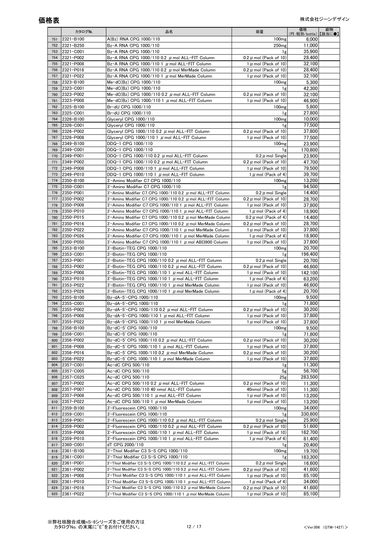|            | カタログNo.                | 品名                                                                                                     | 容量                                                     | 価格<br>(円:税別/bottle)】【該当に●】 | 劇物 |
|------------|------------------------|--------------------------------------------------------------------------------------------------------|--------------------------------------------------------|----------------------------|----|
| 751        | 2321-B100              | A(Bz) RNA CPG 1000/110                                                                                 | 100 <sub>mg</sub>                                      | 6,000                      |    |
| 752        | 2321-B250              | Bz-A RNA CPG 1000/110                                                                                  | 250 <sub>mg</sub>                                      | 11,000                     |    |
| 753        | 2321-C001              | Bz-A RNA CPG 1000/110                                                                                  | 1g                                                     | 35.900                     |    |
| 754        | 2321-P002              | Bz-A RNA CPG 1000/110 0.2 $\mu$ mol ALL-FIT Column                                                     | 0.2 $\mu$ mol (Pack of 10)                             | 28,400                     |    |
| 755<br>756 | 2321-P008<br>2321-P016 | Bz-A RNA CPG 1000/110 1 µ mol ALL-FIT Column<br>Bz-A RNA CPG 1000/110 0.2 $\mu$ mol MerMade Column     | 1 $\mu$ mol (Pack of 10)<br>0.2 $\mu$ mol (Pack of 10) | 32.100<br>28,400           |    |
| 757        | 2321-P022              | Bz-A RNA CPG 1000/110 1 $\mu$ mol MerMade Column                                                       | 1 $\mu$ mol (Pack of 10)                               | 32,100                     |    |
| 758        | 2323-B100              | Me-dC(Bz) CPG 1000/110                                                                                 | 100 <sub>mg</sub>                                      | 5,300                      |    |
| 759        | 2323-C001              | Me-dC(Bz) CPG 1000/110                                                                                 | 1g                                                     | 42,300                     |    |
| 760        | 2323-P002              | Me-dC(Bz) CPG 1000/110 0.2 $\mu$ mol ALL-FIT Column                                                    | $0.2 \mu$ mol (Pack of 10)                             | 32.100                     |    |
| 761        | 2323-P008              | Me-dC(Bz) CPG 1000/110 1 $\mu$ mol ALL-FIT Column                                                      | 1 $\mu$ mol (Pack of 10)                               | 46,900                     |    |
| 762        | 2325-B100              | Br-dU CPG 1000/110                                                                                     | 100 <sub>mg</sub>                                      | 5,800                      |    |
| 763        | 2325-C001              | Br-dU CPG 1000/110                                                                                     | 1g                                                     | 27.800                     |    |
| 764<br>765 | 2326-B100<br>2326-C001 | Glyceryl CPG 1000/110<br>Glyceryl CPG 1000/110                                                         | 100 <sub>mg</sub><br>1g                                | 10.000<br>77.500           |    |
| 766        | 2326-P002              | Glyceryl CPG 1000/110 0.2 $\mu$ mol ALL-FIT Column                                                     | 0.2 $\mu$ mol (Pack of 10)                             | 37,800                     |    |
| 767        | 2326-P008              | Glyceryl CPG 1000/110 1 $\,\mu$ mol ALL-FIT Column                                                     | 1 $\mu$ mol (Pack of 10)                               | 77,500                     |    |
| 768        | 2349-B100              | DDQ-1 CPG 1000/110                                                                                     | 100 <sub>mg</sub>                                      | 23.900                     |    |
| 769        | 2349-C001              | DDQ-1 CPG 1000/110                                                                                     | 1g                                                     | 170,800                    |    |
| 770        | 2349-P001              | DDQ-1 CPG 1000/110 0.2 $\mu$ mol ALL-FIT Column                                                        | $0.2 \mu$ mol Single                                   | 23.900                     |    |
| 771        | 2349-P002              | DDQ-1 CPG 1000/110 0.2 $\mu$ mol ALL-FIT Column                                                        | $0.2 \mu$ mol (Pack of 10)                             | 47,700                     |    |
| 772        | 2349-P008              | DDQ-1 CPG 1000/110 1 $\mu$ mol ALL-FIT Column                                                          | 1 $\mu$ mol (Pack of 10)                               | 79,500                     |    |
| 773        | 2349-P010              | DDQ-1 CPG 1000/110 1 $\mu$ mol ALL-FIT Column                                                          | 1 $\mu$ mol (Pack of 4)                                | 39,700                     |    |
| 774<br>775 | 2350-B100<br>2350-C001 | 3'-Amino Modifier C7 CPG 1000/110<br>3'-Amino Modifier C7 CPG 1000/110                                 | 100 <sub>mg</sub>                                      | 13.200<br>94.500           |    |
| 776        | 2350-P001              | 3'-Amino Modifier C7 CPG 1000/110 0.2 $\mu$ mol ALL-FIT Column                                         | 1g<br>0.2 $\mu$ mol Single                             | 14,400                     |    |
| 777        | 2350-P002              | 3'-Amino Modifier C7 CPG 1000/110 0.2 $\mu$ mol ALL-FIT Column                                         | 0.2 $\mu$ mol (Pack of 10)                             | 28,700                     |    |
| 778        | 2350-P008              | 3'-Amino Modifier C7 CPG 1000/110 1 $\mu$ mol ALL-FIT Column                                           | 1 $\mu$ mol (Pack of 10)                               | 37.800                     |    |
| 779        | 2350-P010              | 3'-Amino Modifier C7 CPG 1000/110 1 $\mu$ mol ALL-FIT Column                                           | 1 $\mu$ mol (Pack of 4)                                | 18,900                     |    |
| 780        | 2350-P015              | 3'-Amino Modifier C7 CPG 1000/110 0.2 $\mu$ mol MerMade Column                                         | 0.2 $\mu$ mol (Pack of 4)                              | 14.400                     |    |
| 781        | 2350-P016              | 3'-Amino Modifier C7 CPG 1000/110 0.2 $\mu$ mol MerMade Column                                         | $0.2 \mu$ mol (Pack of 10)                             | 28,700                     |    |
| 782        | 2350-P022              | 3'-Amino Modifier C7 CPG 1000/110 1 $\mu$ mol MerMade Column                                           | 1 $\mu$ mol (Pack of 10)                               | 37,800                     |    |
| 783        | 2350-P026              | 3'-Amino Modifier C7 CPG 1000/110 1 $\mu$ mol MerMade Column                                           | 1 $\mu$ mol (Pack of 4)                                | 18.900                     |    |
| 784<br>785 | 2350-P050<br>2353-B100 | 3'-Amino Modifier C7 CPG 1000/110 1 $\mu$ mol ABI3900 Column<br>3'-Biotin-TEG CPG 1000/110             | 1 $\mu$ mol (Pack of 10)<br>100 <sub>mg</sub>          | 37,800<br>20.700           |    |
| 786        | 2353-C001              | 3'-Biotin-TEG CPG 1000/110                                                                             | 1g                                                     | 196,400                    |    |
| 787        | 2353-P001              | 3'-Biotin-TEG CPG 1000/110 0.2 $\mu$ mol ALL-FIT Column                                                | 0.2 $\mu$ mol Single                                   | 20,700                     |    |
| 788        | 2353-P002              | 3'-Biotin-TEG CPG 1000/110 0.2 $\mu$ mol ALL-FIT Column                                                | 0.2 $\mu$ mol (Pack of 10)                             | 46.600                     |    |
| 789        | 2353-P008              | 3'-Biotin-TEG CPG 1000/110 1 $\mu$ mol ALL-FIT Column                                                  | 1 $\mu$ mol (Pack of 10)                               | 142,100                    |    |
| 790        | 2353-P010              | 3'-Biotin-TEG CPG 1000/110 1 $\mu$ mol ALL-FIT Column                                                  | 1 $\mu$ mol (Pack of 4)                                | 63,200                     |    |
| 791        | 2353-P022              | 3'-Biotin-TEG CPG 1000/110 1 $\mu$ mol MerMade Column                                                  | 1 $\mu$ mol (Pack of 10)                               | 46,600<br>20,700           |    |
| 792<br>793 | 2353-P026<br>2355-B100 | 3'-Biotin-TEG CPG 1000/110 1 $\mu$ mol MerMade Column<br>Bz-dA-5'-CPG 1000/110                         | 1 $\mu$ mol (Pack of 4)<br>100 <sub>mg</sub>           | 9,500                      |    |
| 794        | 2355-C001              | Bz-dA-5'-CPG 1000/110                                                                                  | 1g                                                     | 71,800                     |    |
| 795        | 2355-P002              | Bz-dA-5'-CPG 1000/110 0.2 $\mu$ mol ALL-FIT Column                                                     | $0.2 \mu$ mol (Pack of 10)                             | 30,200                     |    |
| 796        | 2355-P008              | $Bz-dA-5'-CPG$ 1000/110 1 $\mu$ mol ALL-FIT Column                                                     | 1 $\mu$ mol (Pack of 10)                               | 37.800                     |    |
| 797        | 2355-P022              | Bz-dA-5'-CPG 1000/110 1 $\mu$ mol MerMade Column                                                       | 1 $\mu$ mol (Pack of 10)                               | 37.800                     |    |
| 798        | 2356-B100              | Bz-dC-5' CPG 1000/110                                                                                  | 100 <sub>mg</sub>                                      | 9,500                      |    |
| 799        | 2356-C001              | Bz-dC-5' CPG 1000/110                                                                                  | 1g                                                     | 71.800                     |    |
| 800        | 2356-P002<br>2356-P008 | Bz-dC-5' CPG 1000/110 0.2 $\mu$ mol ALL-FIT Column                                                     | 0.2 $\mu$ mol (Pack of 10)                             | 30,200                     |    |
| 801<br>802 | 2356-P016              | Bz-dC-5' CPG 1000/110 1 $\mu$ mol ALL-FIT Column<br>Bz-dC-5' CPG 1000/110 0.2 $\mu$ mol MerMade Column | 1 $\mu$ mol (Pack of 10)<br>0.2 $\mu$ mol (Pack of 10) | 37,800<br>30,200           |    |
| 803        | 2356-P022              | Bz-dC-5' CPG 1000/110 1 $\mu$ mol MerMade Column                                                       | 1 $\mu$ mol (Pack of 10)                               | 37,800                     |    |
| 804        | 2357-C001              | Ac-dC CPG 500/110                                                                                      | 1g                                                     | 11,300                     |    |
| 805        | 2357-C005              | Ac-dC CPG 500/110                                                                                      | 5 <sub>g</sub>                                         | 56,700                     |    |
| 806        | 2357-C025              | Ac-dC CPG 500/110                                                                                      | 25g                                                    | 283,500                    |    |
| 807        | 2357-P002              | Ac-dC CPG 500/110 0.2 $\,\mu$ mol ALL-FIT Column                                                       | 0.2 $\mu$ mol (Pack of 10)                             | 11,300                     |    |
| 808        | 2357-P007              | Ac-dC CPG 500/110 40 nmol ALL-FIT Column                                                               | 40nmol (Pack of 10)                                    | 11.300                     |    |
| 809<br>810 | 2357-P008<br>2357-P022 | Ac-dC CPG $500/110$ 1 $\mu$ mol ALL-FIT Column<br>Ac-dC CPG 500/110 1 $\mu$ mol MerMade Column         | 1 $\mu$ mol (Pack of 10)<br>1 $\mu$ mol (Pack of 10)   | 13.200<br>13,200           |    |
| 811        | 2359-B100              | 3'-Fluorescein CPG 1000/110                                                                            | 100 <sub>mg</sub>                                      | 34,000                     |    |
| 812        | 2359-C001              | 3'-Fluorescein CPG 1000/110                                                                            | 1g                                                     | 330,800                    |    |
| 813        | 2359-P001              | 3'-Fluorescein CPG 1000/110 0.2 $\mu$ mol ALL-FIT Column                                               | 0.2 $\mu$ mol Single                                   | 25,900                     |    |
| 814        | 2359-P002              | 3'-Fluorescein CPG 1000/110 0.2 $\mu$ mol ALL-FIT Column                                               | $0.2 \mu$ mol (Pack of 10)                             | 51,600                     |    |
| 815        | 2359-P008              | 3'-Fluorescein CPG 1000/110 1 $\mu$ mol ALL-FIT Column                                                 | $1 \mu$ mol (Pack of 10)                               | 162,700                    |    |
| 816        | 2359-P010              | 3'-Fluorescein CPG 1000/110 1 $\,\mu$ mol ALL-FIT Column                                               | 1 $\mu$ mol (Pack of 4)                                | 81,400                     |    |
| 817        | 2360-C001              | dT CPG 2000/110                                                                                        | 1g                                                     | 20,400                     |    |
| 818<br>819 | 2361-B100<br>2361-C001 | 3'-Thiol Modifier C3 S-S CPG 1000/110<br>3'-Thiol Modifier C3 S-S CPG 1000/110                         | 100 <sub>mg</sub><br>1g                                | 19,700<br>183,300          |    |
| 820        | 2361-P001              | 3'-Thiol Modifier C3 S-S CPG 1000/110 0.2 $\mu$ mol ALL-FIT Column                                     | 0.2 $\mu$ mol Single                                   | 16,600                     |    |
| 821        | 2361-P002              | 3'-Thiol Modifier C3 S-S CPG 1000/110 0.2 $\mu$ mol ALL-FIT Column                                     | 0.2 $\mu$ mol (Pack of 10)                             | 41,600                     |    |
| 822        | 2361-P008              | 3'-Thiol Modifier C3 S-S CPG 1000/110 1 $\mu$ mol ALL-FIT Column                                       | 1 $\mu$ mol (Pack of 10)                               | 85,100                     |    |
| 823        | 2361-P010              | 3'-Thiol Modifier C3 S-S CPG 1000/110 1 $\mu$ mol ALL-FIT Column                                       | 1 $\mu$ mol (Pack of 4)                                | 34,000                     |    |
| 824        | 2361-P016              | 3'-Thiol Modifier C3 S-S CPG 1000/110 0.2 $\mu$ mol MerMade Column                                     | $0.2 \mu$ mol (Pack of 10)                             | 41,600                     |    |
| 825        | 2361-P022              | 3'-Thiol Modifier C3 S-S CPG 1000/110 1 $\mu$ mol MerMade Column                                       | 1 $\mu$ mol (Pack of 10)                               | 85,100                     |    |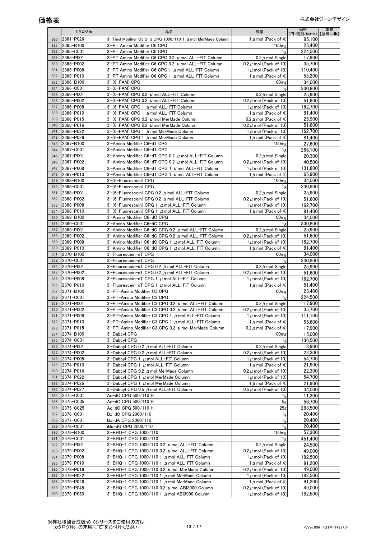|            | カタログNo.                | 品名                                                                                                                 | 容量                                                     | 価格<br>(円:税別/bottle)】【該当に●】 | 劇物 |
|------------|------------------------|--------------------------------------------------------------------------------------------------------------------|--------------------------------------------------------|----------------------------|----|
| 826        | 2361-P026              | 3'-Thiol Modifier C3 S-S CPG 1000/110 1 $\mu$ mol MerMade Column                                                   | 1 $\mu$ mol (Pack of 4)                                | 85,100                     |    |
| 827        | 2365-B100              | 3'-PT Amino Modifier C6 CPG                                                                                        | 100 <sub>mg</sub>                                      | 23,400                     |    |
| 828        | 2365-C001              | 3'-PT Amino Modifier C6 CPG                                                                                        | 1g                                                     | 224.500                    |    |
| 829        | 2365-P001<br>2365-P002 | 3'-PT Amino Modifier C6 CPG 0.2 $\mu$ mol ALL-FIT Column                                                           | $0.2 \mu$ mol Single                                   | 17,900<br>35.700           |    |
| 830<br>831 | 2365-P008              | 3'-PT Amino Modifier C6 CPG 0.2 $\mu$ mol ALL-FIT Column<br>3'-PT Amino Modifier C6 CPG 1 $\mu$ mol ALL-FIT Column | $0.2 \mu$ mol (Pack of 10)<br>1 $\mu$ mol (Pack of 10) | 110,400                    |    |
| 832        | 2365-P010              | 3'-PT Amino Modifier C6 CPG 1 $\mu$ mol ALL-FIT Column                                                             | 1 $\mu$ mol (Pack of 4)                                | 55,200                     |    |
| 833        | 2366-B100              | $3'$ - $(6$ -FAM $)$ CPG                                                                                           | 100 <sub>mg</sub>                                      | 34.000                     |    |
| 834        | 2366-C001              | $3'$ - $(6$ -FAM $)$ CPG                                                                                           | 1g                                                     | 330,800                    |    |
| 835        | 2366-P001              | $3'$ -(6-FAM) CPG 0.2 $\mu$ mol ALL-FIT Column                                                                     | 0.2 $\mu$ mol Single                                   | 25.900                     |    |
| 836        | 2366-P002              | $3'$ -(6-FAM) CPG 0.2 $\mu$ mol ALL-FIT Column                                                                     | 0.2 $\mu$ mol (Pack of 10)                             | 51,600                     |    |
| 837<br>838 | 2366-P008<br>2366-P010 | $3'$ -(6-FAM) CPG 1 $\mu$ mol ALL-FIT Column<br>$3'$ - $(6$ -FAM) CPG 1 $\mu$ mol ALL-FIT Column                   | 1 $\mu$ mol (Pack of 10)<br>1 $\mu$ mol (Pack of 4)    | 162,700<br>81.400          |    |
| 839        | 2366-P015              | $3'$ –(6–FAM) CPG 0.2 $\mu$ mol MerMade Column                                                                     | $0.2 \mu$ mol (Pack of 4)                              | 25.900                     |    |
| 840        | 2366-P016              | $3'$ -(6-FAM) CPG 0.2 $\mu$ mol MerMade Column                                                                     | $0.2 \mu$ mol (Pack of 10)                             | 51.600                     |    |
| 841        | 2366-P022              | $3'$ – $(6$ –FAM) CPG 1 $\mu$ mol MerMade Column                                                                   | 1 $\mu$ mol (Pack of 10)                               | 162,700                    |    |
| 842        | 2366-P026              | $3'$ – $(6$ –FAM) CPG 1 $\mu$ mol MerMade Column                                                                   | 1 $\mu$ mol (Pack of 4)                                | 81,400                     |    |
| 843        | 2367-B100              | 3'-Amino Modifier C6-dT CPG                                                                                        | 100 <sub>mg</sub>                                      | 27,600                     |    |
| 844<br>845 | 2367-C001<br>2367-P001 | 3'-Amino Modifier C6-dT CPG<br>3'-Amino Modifier C6-dT CPG 0.2 µ mol ALL-FIT Column                                | 1g                                                     | 266,100<br>20,300          |    |
| 846        | 2367-P002              | 3'-Amino Modifier C6-dT CPG 0.2 $\mu$ mol ALL-FIT Column                                                           | 0.2 $\mu$ mol Single<br>0.2 $\mu$ mol (Pack of 10)     | 40,500                     |    |
| 847        | 2367-P008              | 3'-Amino Modifier C6-dT CPG 1 $\mu$ mol ALL-FIT Column                                                             | 1 $\mu$ mol (Pack of 10)                               | 131,800                    |    |
| 848        | 2367-P010              | 3'-Amino Modifier C6-dT CPG 1 $\mu$ mol ALL-FIT Column                                                             | 1 $\mu$ mol (Pack of 4)                                | 65.900                     |    |
| 849        | 2368-B100              | 3'-(6-Fluorescein) CPG                                                                                             | 100 <sub>mg</sub>                                      | 34,000                     |    |
| 850        | 2368-C001              | 3'-(6-Fluorescein) CPG                                                                                             | 1g                                                     | 330.800                    |    |
| 851        | 2368-P001              | $3'$ -(6-Fluorescein) CPG 0.2 $\mu$ mol ALL-FIT Column                                                             | 0.2 $\mu$ mol Single                                   | 25,900                     |    |
| 852<br>853 | 2368-P002<br>2368-P008 | $3'$ -(6-Fluorescein) CPG 0.2 $\mu$ mol ALL-FIT Column<br>$3'$ -(6-Fluorescein) CPG 1 $\mu$ mol ALL-FIT Column     | 0.2 $\mu$ mol (Pack of 10)<br>1 $\mu$ mol (Pack of 10) | 51,600<br>162.700          |    |
| 854        | 2368-P010              | $3'$ -(6-Fluorescein) CPG 1 $\mu$ mol ALL-FIT Column                                                               | 1 $\mu$ mol (Pack of 4)                                | 81,400                     |    |
| 855        | 2369-B100              | 3'-Amino Modifier C6-dC CPG                                                                                        | 100 <sub>mg</sub>                                      | 34.000                     |    |
| 856        | 2369-C001              | 3'-Amino Modifier C6-dC CPG                                                                                        | 1g                                                     | 330,800                    |    |
| 857        | 2369-P001              | 3'-Amino Modifier C6-dC CPG 0.2 $\mu$ mol ALL-FIT Column                                                           | 0.2 $\mu$ mol Single                                   | 25,900                     |    |
| 858        | 2369-P002              | 3'-Amino Modifier C6-dC CPG 0.2 µ mol ALL-FIT Column                                                               | $0.2 \mu$ mol (Pack of 10)                             | 51.600                     |    |
| 859<br>860 | 2369-P008<br>2369-P010 | 3'-Amino Modifier C6-dC CPG 1 $\mu$ mol ALL-FIT Column<br>3'-Amino Modifier C6-dC CPG 1 $\mu$ mol ALL-FIT Column   | 1 $\mu$ mol (Pack of 10)<br>1 $\mu$ mol (Pack of 4)    | 162,700<br>81.400          |    |
| 861        | 2370-B100              | 3'-Fluorescein-dT CPG                                                                                              | 100 <sub>mg</sub>                                      | 34,000                     |    |
| 862        | 2370-C001              | 3'-Fluorescein-dT CPG                                                                                              | 1g                                                     | 330,800                    |    |
| 863        | 2370-P001              | 3'-Fluorescein-dT CPG 0.2 $\mu$ mol ALL-FIT Column                                                                 | 0.2 $\mu$ mol Single                                   | 25,900                     |    |
| 864        | 2370-P002              | 3'-Fluorescein-dT CPG 0.2 μ mol ALL-FIT Column                                                                     | 0.2 $\mu$ mol (Pack of 10)                             | 51,600                     |    |
| 865        | 2370-P008              | 3'-Fluorescein-dT CPG 1 µ mol ALL-FIT Column                                                                       | 1 $\mu$ mol (Pack of 10)                               | 162,700                    |    |
| 866<br>867 | 2370-P010<br>2371-B100 | 3'-Fluorescein-dT CPG 1 $\mu$ mol ALL-FIT Column<br>3'-PT-Amino Modifier C3 CPG                                    | 1 $\mu$ mol (Pack of 4)<br>100 <sub>mg</sub>           | 81,400<br>23,400           |    |
| 868        | 2371-C001              | 3'-PT-Amino Modifier C3 CPG                                                                                        | 1g                                                     | 224,500                    |    |
| 869        | 2371-P001              | 3'-PT-Amino Modifier C3 CPG 0.2 $\mu$ mol ALL-FIT Column                                                           | $0.2 \mu$ mol Single                                   | 17.900                     |    |
| 870        | 2371-P002              | 3'-PT-Amino Modifier C3 CPG 0.2 μ mol ALL-FIT Column                                                               | $0.2 \mu$ mol (Pack of 10)                             | 35,700                     |    |
| 871        | 2371-P008              | $3$ '-PT-Amino Modifier C3 CPG 1 $\mu$ mol ALL-FIT Column                                                          | 1 $\mu$ mol (Pack of 10)                               | 111,100                    |    |
| 872        | 2371-P010              | 3'-PT-Amino Modifier C3 CPG 1 $\mu$ mol ALL-FIT Column                                                             | 1 $\mu$ mol (Pack of 4)                                | 55,600                     |    |
| 873        | 2371-P015              | 3'-PT-Amino Modifier C3 CPG 0.2 $\mu$ mol MerMade Column                                                           | $0.2 \mu$ mol (Pack of 4)                              | 17,900                     |    |
| 874<br>875 | 2374-B100<br>2374-C001 | 3'-Dabcvl CPG<br>3'-Dabcyl CPG                                                                                     | 100 <sub>mg</sub><br>1g                                | 15,000<br>136,500          |    |
| 876        | 2374-P001              | 3'-Dabcyl CPG 0.2 µ mol ALL-FIT Column                                                                             | 0.2 $\mu$ mol Single                                   | 8,900                      |    |
| 877        | 2374-P002              | 3'-Dabcyl CPG 0.2 µ mol ALL-FIT Column                                                                             | $0.2 \mu$ mol (Pack of 10)                             | 22,300                     |    |
| 878        | 2374-P008              | 3'-Dabcyl CPG 1 $\mu$ mol ALL-FIT Column                                                                           | 1 $\mu$ mol (Pack of 10)                               | 54,700                     |    |
| 879        | 2374-P010              | 3'-Dabcyl CPG 1 µ mol ALL-FIT Column                                                                               | 1 $\mu$ mol (Pack of 4)                                | 21,900                     |    |
| 880<br>881 | 2374-P016<br>2374-P022 | 3'-Dabcyl CPG 0.2 $\mu$ mol MerMade Column                                                                         | 0.2 $\mu$ mol (Pack of 10)                             | 22,300                     |    |
| 882        | 2374-P026              | 3'-Dabcyl CPG 1 $\mu$ mol MerMade Column<br>3'-Dabcyl CPG 1 $\mu$ mol MerMade Column                               | 1 $\mu$ mol (Pack of 10)<br>1 $\mu$ mol (Pack of 4)    | 54,700<br>21,900           |    |
| 883        | 2374-P027              | 3'-Dabcyl CPG 0.5 µ mol ALL-FIT Column                                                                             | $0.5 \mu$ mol (Pack of 10)                             | 34.000                     |    |
| 884        | 2375-C001              | Ac-dC CPG 500/110 H                                                                                                | 1g                                                     | 11,300                     |    |
| 885        | 2375-C005              | Ac-dC CPG 500/110 H                                                                                                | 5g                                                     | 56,700                     |    |
| 886        | 2375-C025              | Ac-dC CPG 500/110 H                                                                                                | 25 <sub>g</sub>                                        | 283,500                    |    |
| 887<br>888 | 2376-C001<br>2377-C001 | Bz-dC CPG 2000/110<br>Bz-dA CPG 2000/110                                                                           | 1g                                                     | 20,400<br>20,400           |    |
| 889        | 2378-C001              | iBu-dG CPG 2000/110                                                                                                | 1g<br>1g                                               | 20,400                     |    |
| 890        | 2379-B100              | 3'-BHQ-1 CPG 1000/110                                                                                              | 100 <sub>mg</sub>                                      | 57,300                     |    |
| 891        | 2379-C001              | 3'-BHQ-1 CPG 1000/110                                                                                              | 1g                                                     | 451,400                    |    |
| 892        | 2379-P001              | 3'-BHQ-1 CPG 1000/110 0.2 $\mu$ mol ALL-FIT Column                                                                 | 0.2 $\mu$ mol Single                                   | 24,500                     |    |
| 893        | 2379-P002              | 3'-BHQ-1 CPG 1000/110 0.2 $\mu$ mol ALL-FIT Column                                                                 | $0.2 \mu$ mol (Pack of 10)                             | 49.000                     |    |
| 894        | 2379-P008              | 3'-BHQ-1 CPG 1000/110 1 $\mu$ mol ALL-FIT Column                                                                   | 1 $\mu$ mol (Pack of 10)                               | 182,500                    |    |
| 895<br>896 | 2379-P010<br>2379-P016 | 3'-BHQ-1 CPG 1000/110 1 $\mu$ mol ALL-FIT Column<br>3'-BHQ-1 CPG 1000/110 0.2 $\mu$ mol MerMade Column             | 1 $\mu$ mol (Pack of 4)<br>0.2 $\mu$ mol (Pack of 10)  | 91,200<br>49,000           |    |
| 897        | 2379-P022              | 3'-BHQ-1 CPG 1000/110 1 $\mu$ mol MerMade Column                                                                   | 1 $\mu$ mol (Pack of 10)                               | 182,500                    |    |
| 898        | 2379-P026              | 3'-BHQ-1 CPG 1000/110 1 $\mu$ mol MerMade Column                                                                   | 1 $\mu$ mol (Pack of 4)                                | 91,200                     |    |
| 899        | 2379-P048              | 3'-BHQ-1 CPG 1000/110 0.2 $\mu$ mol ABI3900 Column                                                                 | $0.2 \mu$ mol (Pack of 10)                             | 49,000                     |    |
| 900        | 2379-P050              | 3'-BHQ-1 CPG 1000/110 1 $\mu$ mol ABI3900 Column                                                                   | 1 $\mu$ mol (Pack of 10)                               | 182,500                    |    |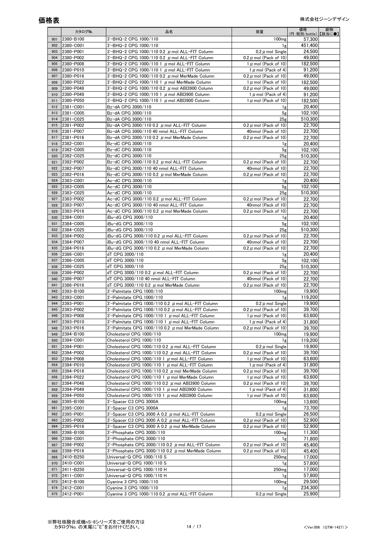|            | カタログNo.                | 品名                                                                                                               | 容量                                                       | 価格<br>(円:税別/bottle)【該当に●】 | 劇物 |
|------------|------------------------|------------------------------------------------------------------------------------------------------------------|----------------------------------------------------------|---------------------------|----|
| 901        | 2380-B100              | 3'-BHQ-2 CPG 1000/110                                                                                            | 100 <sub>mg</sub>                                        | 57.300                    |    |
| 902        | 2380-C001              | 3'-BHQ-2 CPG 1000/110                                                                                            | 1g                                                       | 451,400                   |    |
| 903        | 2380-P001              | $3'$ -BHQ-2 CPG 1000/110 0.2 $\mu$ mol ALL-FIT Column                                                            | $0.2 \mu$ mol Single                                     | 24,500                    |    |
| 904        | 2380-P002              | 3'-BHQ-2 CPG 1000/110 0.2 $\mu$ mol ALL-FIT Column                                                               | 0.2 $\mu$ mol (Pack of 10)                               | 49.000                    |    |
| 905        | 2380-P008              | 3'-BHQ-2 CPG 1000/110 1 $\mu$ mol ALL-FIT Column                                                                 | 1 $\mu$ mol (Pack of 10)                                 | 182,500                   |    |
| 906        | 2380-P010              | 3'-BHQ-2 CPG 1000/110 1 $\mu$ mol ALL-FIT Column                                                                 | 1 $\mu$ mol (Pack of 4)                                  | 91,200                    |    |
| 907        | 2380-P016              | 3'-BHQ-2 CPG 1000/110 0.2 $\mu$ mol MerMade Column                                                               | 0.2 $\mu$ mol (Pack of 10)                               | 49.000                    |    |
| 908        | 2380-P022<br>2380-P048 | 3'-BHQ-2 CPG 1000/110 1 $\mu$ mol MerMade Column                                                                 | 1 $\mu$ mol (Pack of 10)                                 | 182.500                   |    |
| 909<br>910 | 2380-P049              | 3'-BHQ-2 CPG 1000/110 0.2 $\mu$ mol ABI3900 Column<br>3'-BHQ-2 CPG 1000/110 1 $\mu$ mol ABI3900 Column           | 0.2 $\mu$ mol (Pack of 10)<br>1 $\mu$ mol (Pack of 4)    | 49.000<br>91,200          |    |
| 911        | 2380-P050              | 3'-BHQ-2 CPG 1000/110 1 $\mu$ mol ABI3900 Column                                                                 | $1 \mu$ mol (Pack of 10)                                 | 182,500                   |    |
| 912        | 2381-C001              | Bz-dA CPG 3000/110                                                                                               | 1g                                                       | 20,400                    |    |
| 913        | 2381-C005              | Bz-dA CPG 3000/110                                                                                               | 5g                                                       | 102.100                   |    |
| 914        | 2381-C025              | Bz-dA CPG 3000/110                                                                                               | 25 <sub>g</sub>                                          | 510,300                   |    |
| 915        | 2381-P002              | Bz-dA CPG 3000/110 0.2 $\mu$ mol ALL-FIT Column                                                                  | 0.2 $\mu$ mol (Pack of 10)                               | 22,700                    |    |
| 916        | 2381-P007              | Bz-dA CPG 3000/110 40 nmol ALL-FIT Column                                                                        | 40nmol (Pack of 10)                                      | 22,700                    |    |
| 917        | 2381-P016              | Bz-dA CPG 3000/110 0.2 $\mu$ mol MerMade Column                                                                  | $0.2 \mu$ mol (Pack of 10)                               | 22,700                    |    |
| 918        | 2382-C001              | Bz-dC CPG 3000/110                                                                                               | 1g                                                       | 20.400                    |    |
| 919        | 2382-C005              | Bz-dC CPG 3000/110                                                                                               | 5g                                                       | 102,100                   |    |
| 920        | 2382-C025<br>2382-P002 | Bz-dC CPG 3000/110                                                                                               | 25g<br>0.2 $\mu$ mol (Pack of 10)                        | 510,300<br>22,700         |    |
| 921<br>922 | 2382-P007              | Bz-dC CPG 3000/110 0.2 $\mu$ mol ALL-FIT Column<br>Bz-dC CPG 3000/110 40 nmol ALL-FIT Column                     | 40nmol (Pack of 10)                                      | 22,700                    |    |
| 923        | 2382-P016              | Bz-dC CPG 3000/110 0.2 $\mu$ mol MerMade Column                                                                  | $0.2 \mu$ mol (Pack of 10)                               | 22.700                    |    |
| 924        | 2383-C001              | Ac-dC CPG 3000/110                                                                                               | 1g                                                       | 20.400                    |    |
| 925        | 2383-C005              | Ac-dC CPG 3000/110                                                                                               | 5 <sub>g</sub>                                           | 102,100                   |    |
| 926        | 2383-C025              | Ac-dC CPG 3000/110                                                                                               | 25g                                                      | 510,300                   |    |
| 927        | 2383-P002              | Ac-dC CPG 3000/110 0.2 $\mu$ mol ALL-FIT Column                                                                  | 0.2 $\mu$ mol (Pack of 10)                               | 22,700                    |    |
| 928        | 2383-P007              | Ac-dC CPG 3000/110 40 nmol ALL-FIT Column                                                                        | 40nmol (Pack of 10)                                      | 22,700                    |    |
| 929        | 2383-P016              | Ac-dC CPG 3000/110 0.2 $\mu$ mol MerMade Column                                                                  | 0.2 $\mu$ mol (Pack of 10)                               | 22,700                    |    |
| 930        | 2384-C001              | iBu-dG CPG 3000/110                                                                                              | 1g                                                       | 20,400                    |    |
| 931        | 2384-C005              | iBu-dG CPG 3000/110                                                                                              | 5g                                                       | 102,100                   |    |
| 932<br>933 | 2384-C025<br>2384-P002 | iBu-dG CPG 3000/110                                                                                              | 25g<br>0.2 $\mu$ mol (Pack of 10)                        | 510,300<br>22.700         |    |
| 934        | 2384-P007              | iBu-dG CPG 3000/110 0.2 $\mu$ mol ALL-FIT Column<br>iBu-dG CPG 3000/110 40 nmol ALL-FIT Column                   | 40nmol (Pack of 10)                                      | 22,700                    |    |
| 935        | 2384-P016              | iBu-dG CPG 3000/110 0.2 $\mu$ mol MerMade Column                                                                 | 0.2 $\mu$ mol (Pack of 10)                               | 22,700                    |    |
| 936        | 2386-C001              | dT CPG 3000/110                                                                                                  | 1g                                                       | 20,400                    |    |
| 937        | 2386-C005              | dT CPG 3000/110                                                                                                  | 5 <sub>g</sub>                                           | 102,100                   |    |
| 938        | 2386-C025              | dT CPG 3000/110                                                                                                  | 25 <sub>g</sub>                                          | 510.300                   |    |
| 939        | 2386-P002              | dT CPG 3000/110 0.2 $\mu$ mol ALL-FIT Column                                                                     | 0.2 $\mu$ mol (Pack of 10)                               | 22,700                    |    |
| 940        | 2386-P007              | dT CPG 3000/110 40 nmol ALL-FIT Column                                                                           | 40nmol (Pack of 10)                                      | 22,700                    |    |
| 941        | 2386-P016              | dT CPG 3000/110 0.2 $\mu$ mol MerMade Column                                                                     | 0.2 $\mu$ mol (Pack of 10)                               | 22,700                    |    |
| 942        | 2393-B100              | 3'-Palmitate CPG 1000/110                                                                                        | 100 <sub>mg</sub>                                        | 19.900                    |    |
| 943        | 2393-C001              | 3'-Palmitate CPG 1000/110                                                                                        | 1g                                                       | 119,200                   |    |
| 944<br>945 | 2393-P001<br>2393-P002 | 3'-Palmitate CPG 1000/110 0.2 $\mu$ mol ALL-FIT Column<br>3'-Palmitate CPG 1000/110 0.2 $\mu$ mol ALL-FIT Column | 0.2 $\mu$ mol Single<br>0.2 $\mu$ mol (Pack of 10)       | 19,900<br>39,700          |    |
| 946        |                        | 3'-Palmitate CPG 1000/110 1 $\mu$ mol ALL-FIT Column                                                             |                                                          |                           |    |
| 947        | 2393-P008<br>2393-P010 | 3'-Palmitate CPG 1000/110 1 $\mu$ mol ALL-FIT Column                                                             | $1 \mu$ mol (Pack of $10$ )<br>1 $\mu$ mol (Pack of 4)   | 63,600<br>31,800          |    |
| 948        | 2393-P016              | 3'-Palmitate CPG 1000/110 0.2 $\mu$ mol MerMade Column                                                           | 0.2 $\mu$ mol (Pack of 10)                               | 39,700                    |    |
| 949        | 2394-B100              | Cholesterol CPG 1000/110                                                                                         | 100 <sub>mg</sub>                                        | 19,900                    |    |
| 950        | 2394-C001              | Cholesterol CPG 1000/110                                                                                         | 1g                                                       | 119,200                   |    |
| 951        | 2394-P001              | Cholesterol CPG 1000/110 0.2 $\mu$ mol ALL-FIT Column                                                            | 0.2 $\mu$ mol Single                                     | 19,900                    |    |
| 952        | 2394-P002              | Cholesterol CPG 1000/110 0.2 $\mu$ mol ALL-FIT Column                                                            | 0.2 $\mu$ mol (Pack of 10)                               | 39,700                    |    |
| 953        | 2394-P008              | Cholesterol CPG 1000/110 1 $\mu$ mol ALL-FIT Column                                                              | 1 $\mu$ mol (Pack of 10)                                 | 63,600                    |    |
| 954        | 2394-P010              | Cholesterol CPG 1000/110 1 $\,\mu$ mol ALL-FIT Column                                                            | 1 $\mu$ mol (Pack of 4)                                  | 31,800                    |    |
| 955<br>956 | 2394-P016<br>2394-P022 | Cholesterol CPG 1000/110 0.2 $\,\mu$ mol MerMade Column                                                          | 0.2 $\mu$ mol (Pack of 10)<br>1 $\mu$ mol (Pack of 10)   | 39,700<br>63,600          |    |
| 957        | 2394-P048              | Cholesterol CPG 1000/110 1 $\mu$ mol MerMade Column<br>Cholesterol CPG 1000/110 0.2 $\mu$ mol ABI3900 Column     | 0.2 $\mu$ mol (Pack of 10)                               | 39,700                    |    |
| 958        | 2394-P049              | Cholesterol CPG 1000/110 1 $\mu$ mol ABI3900 Column                                                              | 1 $\mu$ mol (Pack of 4)                                  | 31,800                    |    |
| 959        | 2394-P050              | Cholesterol CPG 1000/110 1 $\mu$ mol ABI3900 Column                                                              | $1 \mu$ mol (Pack of 10)                                 | 63,600                    |    |
| 960        | 2395-B100              | 3'-Spacer C3 CPG 3000A                                                                                           | 100 <sub>mg</sub>                                        | 13,600                    |    |
| 961        | 2395-C001              | 3'-Spacer C3 CPG 3000A                                                                                           | 1g                                                       | 73,700                    |    |
| 962        | 2395-P001              | 3'-Spacer C3 CPG 3000 $\AA$ 0.2 $\mu$ mol ALL-FIT Column                                                         | 0.2 $\mu$ mol Single                                     | 26,500                    |    |
| 963        | 2395-P002              | 3'-Spacer C3 CPG 3000 $\AA$ 0.2 $\mu$ mol ALL-FIT Column                                                         | $0.2 \mu$ mol (Pack of 10)                               | 52,900                    |    |
| 964        | 2395-P016              | 3'-Spacer C3 CPG 3000 $\AA$ 0.2 $\mu$ mol MerMade Column                                                         | 0.2 $\mu$ mol (Pack of 10)                               | 52,900                    |    |
| 965        | 2398-B100              | 3'-Phosphate CPG 3000/110                                                                                        | 100 <sub>mg</sub>                                        | 11,300                    |    |
| 966<br>967 | 2398-C001<br>2398-P002 | 3'-Phosphate CPG 3000/110                                                                                        | 1g                                                       | 71,800<br>45,400          |    |
| 968        | 2398-P016              | 3'-Phosphate CPG 3000/110 0.2 $\mu$ mol ALL-FIT Column<br>3'-Phosphate CPG 3000/110 0.2 $\mu$ mol MerMade Column | 0.2 $\mu$ mol (Pack of 10)<br>0.2 $\mu$ mol (Pack of 10) | 45,400                    |    |
| 969        | 2410-B250              | Universal-Q CPG 1000/110 S                                                                                       | 250 <sub>mg</sub>                                        | 17,000                    |    |
| 970        | 2410-C001              | Universal-Q CPG 1000/110 S                                                                                       | 1g                                                       | 57,800                    |    |
| 971        | 2411-B250              | Universal-Q CPG 1000/110 H                                                                                       | 250 <sub>mg</sub>                                        | 17,000                    |    |
| 972        | 2411-C001              | Universal-Q CPG 1000/110 H                                                                                       | 1g                                                       | 57,800                    |    |
| 973        | 2412-B100              | Cyanine 3 CPG 1000/110                                                                                           | 100 <sub>mg</sub>                                        | 29,500                    |    |
| 974        | 2412-C001              | Cyanine 3 CPG 1000/110                                                                                           | 1g                                                       | 234,300                   |    |
| 975        | 2412-P001              | Cyanine 3 CPG 1000/110 0.2 $\mu$ mol ALL-FIT Column                                                              | 0.2 $\mu$ mol Single                                     | 25,900                    |    |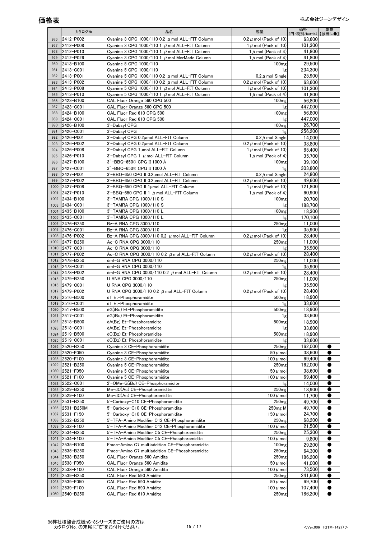|              | カタログNo.                | 品名                                                                             | 容量                                     | 価格<br>(円:税別/bottle)】【該当に●】 | 劇物        |
|--------------|------------------------|--------------------------------------------------------------------------------|----------------------------------------|----------------------------|-----------|
| 976          | 2412-P002              | Cyanine 3 CPG 1000/110 0.2 $\mu$ mol ALL-FIT Column                            | 0.2 $\mu$ mol (Pack of 10)             | 63,600                     |           |
| 977          | 2412-P008              | Cyanine 3 CPG 1000/110 1 $\mu$ mol ALL-FIT Column                              | 1 $\mu$ mol (Pack of 10)               | 101,300                    |           |
| 978          | 2412-P010              | Cyanine 3 CPG 1000/110 1 $\mu$ mol ALL-FIT Column                              | 1 $\mu$ mol (Pack of 4)                | 41,800                     |           |
| 979          | 2412-P026              | Cyanine 3 CPG 1000/110 1 $\mu$ mol MerMade Column                              | 1 $\mu$ mol (Pack of 4)                | 41,800                     |           |
| 980          | 2413-B100              | Cyanine 5 CPG 1000/110                                                         | 100 <sub>mg</sub>                      | 29,500                     |           |
| 981          | 2413-C001              | Cvanine 5 CPG 1000/110                                                         | 1g                                     | 234,300                    |           |
| 982          | 2413-P001              | Cyanine 5 CPG 1000/110 0.2 $\mu$ mol ALL-FIT Column                            | 0.2 $\mu$ mol Single                   | 25,900                     |           |
| 983          | 2413-P002              | Cyanine 5 CPG 1000/110 0.2 $\mu$ mol ALL-FIT Column                            | 0.2 $\mu$ mol (Pack of 10)             | 63,600                     |           |
| 984          | 2413-P008              | Cyanine 5 CPG 1000/110 1 $\mu$ mol ALL-FIT Column                              | 1 $\mu$ mol (Pack of 10)               | 101,300                    |           |
| 985          | 2413-P010              | Cyanine 5 CPG 1000/110 1 $\mu$ mol ALL-FIT Column                              | 1 $\mu$ mol (Pack of 4)                | 41.800                     |           |
| 986          | 2423-B100              | CAL Fluor Orange 560 CPG 500                                                   | 100 <sub>mg</sub>                      | 56,800                     |           |
| 987<br>988   | 2423-C001<br>2424-B100 | CAL Fluor Orange 560 CPG 500<br>CAL Fluor Red 610 CPG 500                      | 1g<br>100 <sub>mg</sub>                | 447,000<br>56.800          |           |
| 989          | 2424-C001              | CAL Fluor Red 610 CPG 500                                                      | 1g                                     | 447,000                    |           |
| 990          | 2426-B100              | 3'-Dabsyl CPG                                                                  | 100 <sub>mg</sub>                      | 26,700                     |           |
| 991          | 2426-C001              | 3'-Dabsyl CPG                                                                  | 1g                                     | 256,200                    |           |
| 992          | 2426-P001              | 3'-Dabsyl CPG 0.2umol ALL-FIT Column                                           | 0.2 $\mu$ mol Single                   | 14,000                     |           |
| 993          | 2426-P002              | 3'-Dabsyl CPG 0.2µmol ALL-FIT Column                                           | 0.2 $\mu$ mol (Pack of 10)             | 33.800                     |           |
| 994          | 2426-P008              | 3'-Dabsyl CPG 1µmol ALL-FIT Column                                             | 1 $\mu$ mol (Pack of 10)               | 85,400                     |           |
| 995          | 2426-P010              | 3'-Dabsyl CPG 1 µ mol ALL-FIT Column                                           | 1 $\mu$ mol (Pack of 4)                | 35.700                     |           |
| 996          | 2427-B100              | 3'-BBQ-650® CPG II 1000 Å                                                      | 100 <sub>mg</sub>                      | 39,100                     |           |
| 997          | 2427-C001              | 3'-BBQ-650® CPG II 1000 Å                                                      | 1g                                     | 303,800                    |           |
| 998          | 2427-P001              | 3'-BBQ-650 CPG II 0.2umol ALL-FIT Column                                       | 0.2 $\mu$ mol Single                   | 24.800                     |           |
| 999          | 2427-P002              | 3'-BBQ-650 CPG II 0.2umol ALL-FIT Column                                       | $0.2 \mu$ mol (Pack of 10)             | 49,600                     |           |
| 1000         | 2427-P008              | 3'-BBQ-650 CPG II 1umol ALL-FIT Column                                         | 1 $\mu$ mol (Pack of 10)               | 121,800                    |           |
| 1001         | 2427-P010              | 3'-BBQ-650 CPG II 1 $\mu$ mol ALL-FIT Column                                   | 1 $\mu$ mol (Pack of 4)                | 60,900                     |           |
| 1002         | 2434-B100              | 3'-TAMRA CPG 1000/110 S                                                        | 100 <sub>mg</sub>                      | 20,700                     |           |
| 1003         | 2434-C001              | 3'-TAMRA CPG 1000/110 S                                                        | 1g                                     | 188,700                    |           |
| 1004         | 2435-B100              | 3'-TAMRA CPG 1000/110 L                                                        | 100 <sub>mg</sub>                      | 18,300                     |           |
| 1005         | 2435-C001              | 3'-TAMRA CPG 1000/110 L                                                        | 1g                                     | 170.100                    |           |
| 1006<br>1007 | 2476-B250<br>2476-C001 | Bz-A RNA CPG 3000/110<br>Bz-A RNA CPG 3000/110                                 | 250 <sub>mg</sub><br>1g                | 11,000<br>35,900           |           |
| 1008         | 2476-P002              | Bz-A RNA CPG 3000/110 0.2 $\mu$ mol ALL-FIT Column                             | $0.2 \mu$ mol (Pack of 10)             | 28,400                     |           |
| 1009         | 2477-B250              | Ac-C RNA CPG 3000/110                                                          | 250 <sub>mg</sub>                      | 11,000                     |           |
| 1010         | 2477-C001              | Ac-C RNA CPG 3000/110                                                          | 1g                                     | 35,900                     |           |
| 1011         | 2477-P002              | Ac-C RNA CPG 3000/110 0.2 $\mu$ mol ALL-FIT Column                             | 0.2 $\mu$ mol (Pack of 10)             | 28,400                     |           |
| 1012         | 2478-B250              | dmf-G RNA CPG 3000/110                                                         | 250 <sub>mg</sub>                      | 11,000                     |           |
| 1013         | 2478-C001              | dmf-G RNA CPG 3000/110                                                         | 1g                                     | 35,900                     |           |
| 1014         | 2478-P002              | dmf-G RNA CPG 3000/110 0.2 $\mu$ mol ALL-FIT Column                            | 0.2 $\mu$ mol (Pack of 10)             | 28,400                     |           |
| 1015         | 2479-B250              | U RNA CPG 3000/110                                                             | 250 <sub>mg</sub>                      | 11,000                     |           |
| 1016         | 2479-C001              | U RNA CPG 3000/110                                                             | 1g                                     | 35,900                     |           |
| 1017         | 2479-P002              | U RNA CPG 3000/110 0.2 $\mu$ mol ALL-FIT Column                                | 0.2 $\mu$ mol (Pack of 10)             | 28,400                     |           |
| 1018         | 2516-B500              | dT Et-Phosphoramidite                                                          | 500 <sub>mg</sub>                      | 18,900                     |           |
| 1019         | 2516-C001              | dT Et-Phosphoramidite                                                          | 1g                                     | 33,600                     |           |
| 1020         | 2517-B500              | dG(iBu) Et-Phosphoramidite                                                     | 500 <sub>mg</sub>                      | 18,900                     |           |
| 1021         | 2517-C001              | dG(iBu) Et-Phosphoramidite                                                     | 1g                                     | 33.600                     |           |
| 1022         | 2518-B500              | dA(Bz) Et-Phosphoramidite                                                      | 500 <sub>mg</sub>                      | 18.900                     |           |
| 1023         | 2518-C001              | dA(Bz) Et-Phosphoramidite                                                      | 1g                                     | 33,600                     |           |
| 1024<br>1025 | 2519-B500<br>2519-C001 | dC(Bz) Et-Phosphoramidite<br>dC(Bz) Et-Phosphoramidite                         | 500 <sub>mg</sub>                      | 18.900                     |           |
| 1026         | 2520-B250              | Cyanine 3 CE-Phosphoramidite                                                   | 1g<br>250 <sub>mg</sub>                | 33,600<br>162,000          |           |
| 1027         | 2520-F050              | Cyanine 3 CE-Phosphoramidite                                                   | $50 \mu$ mol                           | 38,600                     |           |
| 1028         | 2520-F100              | Cyanine 3 CE-Phosphoramidite                                                   | 100 $\mu$ mol                          | 69,400                     |           |
| 1029         | 2521-B250              | Cyanine 5 CE-Phosphoramidite                                                   | 250 <sub>mg</sub>                      | 162,000                    |           |
| 1030         | 2521-F050              | Cyanine 5 CE-Phosphoramidite                                                   | $50 \mu$ mol                           | 38,600                     |           |
| 1031         | 2521-F100              | Cyanine 5 CE-Phosphoramidite                                                   | 100 $\mu$ mol                          | 69,400                     |           |
| 1032         | 2522-C001              | 2'-OMe-G(iBu) CE-Phosphoramidite                                               | 1g                                     | 14,000                     |           |
| 1033         | 2529-B250              | Me-dC(Ac) CE-Phosphoramidite                                                   | 250 <sub>mg</sub>                      | 18,900                     |           |
| 1034         | 2529-F100              | Me-dC(Ac) CE-Phosphoramidite                                                   | 100 $\mu$ mol                          | 11,700                     |           |
| 1035         | 2531-B250              | 5'-Carboxy-C10 CE-Phosphoramidite                                              | 250 <sub>mg</sub>                      | 49,700                     |           |
| 1036         | 2531-B250M             | 5'-Carboxy-C10 CE-Phosphoramidite                                              | 250 <sub>mg</sub> M                    | 49,700                     |           |
| 1037         | 2531-F150              | 5'-Carboxy-C10 CE-Phosphoramidite                                              | 150 $\mu$ mol                          | 24,700                     |           |
| 1038         | 2532-B250              | 5'-TFA-Amino Modifier C12 CE-Phosphoramidite                                   | 250 <sub>mg</sub>                      | 68,200                     |           |
| 1039         | 2532-F100              | 5'-TFA-Amino Modifier C12 CE-Phosphoramidite                                   | 100 $\mu$ mol                          | 21,500                     |           |
| 1040         | 2534-B250              | 5'-TFA-Amino Modifier C5 CE-Phosphoramidite                                    | 250 <sub>mg</sub>                      | 25,300                     |           |
| 1041         | 2534-F100              | 5'-TFA-Amino Modifier C5 CE-Phosphoramidite                                    | 100 $\mu$ mol                          | 9,800                      |           |
| 1042         | 2535-B100              | Fmoc-Amino C7 multiaddition CE-Phosphoramidite                                 | 100 <sub>mg</sub>                      | 29,200                     |           |
| 1043<br>1044 | 2535-B250              | Fmoc-Amino C7 multiaddition CE-Phosphoramidite<br>CAL Fluor Orange 560 Amidite | 250 <sub>mg</sub><br>250 <sub>mg</sub> | 64,300                     |           |
| 1045         | 2538-B250<br>2538-F050 | CAL Fluor Orange 560 Amidite                                                   | $50 \mu$ mol                           | 186,200<br>41,000          |           |
| 1046         | 2538-F100              | CAL Fluor Orange 560 Amidite                                                   | 100 $\mu$ mol                          | 73,500                     |           |
| 1047         | 2539-B250              | CAL Fluor Red 590 Amidite                                                      | 250 <sub>mg</sub>                      | 241,600                    |           |
| 1048         | 2539-F050              | CAL Fluor Red 590 Amidite                                                      | $50 \mu$ mol                           | 69,700                     | $\bullet$ |
| 1049         | 2539-F100              | CAL Fluor Red 590 Amidite                                                      | 100 $\mu$ mol                          | 107,400                    |           |
| 1050         | 2540-B250              | CAL Fluor Red 610 Amidite                                                      | 250 <sub>mg</sub>                      | 186,200                    |           |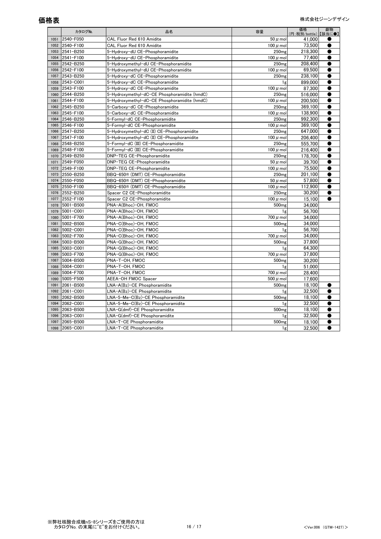|      | カタログNo.   | 品名                                           | 容量                | 価格<br>(円:税別/bottle) | 劇物<br>【該当に●】 |
|------|-----------|----------------------------------------------|-------------------|---------------------|--------------|
| 1051 | 2540-F050 | CAL Fluor Red 610 Amidite                    | $50 \mu$ mol      | 41,000              |              |
| 1052 | 2540-F100 | CAL Fluor Red 610 Amidite                    | $100 \mu$ mol     | 73.500              |              |
| 1053 | 2541-B250 | 5-Hydroxy-dU CE-Phosphoramidite              | 250 <sub>mg</sub> | 218,300             |              |
| 1054 | 2541-F100 | 5-Hydroxy-dU CE-Phosphoramidite              | $100 \mu$ mol     | 77.400              | ●            |
| 1055 | 2542-B250 | 5-Hydroxymethyl-dU CE-Phosphoramidite        | 250 <sub>mg</sub> | 208.400             |              |
| 1056 | 2542-F100 | 5-Hydroxymethyl-dU CE-Phosphoramidite        | 100 $\mu$ mol     | 69.500              | $\bullet$    |
| 1057 | 2543-B250 | 5-Hydroxy-dC CE-Phosphoramidite              | 250 <sub>mg</sub> | 238,100             | 0            |
| 1058 | 2543-C001 | 5-Hydroxy-dC CE-Phosphoramidite              | 1g                | 899,000             | $\bullet$    |
| 1059 | 2543-F100 | 5-Hydroxy-dC CE-Phosphoramidite              | 100 $\mu$ mol     | 87,300              | $\bullet$    |
| 1060 | 2544-B250 | 5-Hydroxymethyl-dC-CE Phosphoramidite (hmdC) | 250 <sub>mg</sub> | 516.000             | $\bullet$    |
| 1061 | 2544-F100 | 5-Hydroxymethyl-dC-CE Phosphoramidite (hmdC) | 100 $\mu$ mol     | 200,500             |              |
| 1062 | 2545-B250 | 5-Carboxy-dC CE-Phosphoramidite              | 250 <sub>mg</sub> | 369.100             | $\bullet$    |
| 1063 | 2545-F100 | 5-Carboxy-dC CE-Phosphoramidite              | 100 $\mu$ mol     | 138,900             |              |
| 1064 | 2546-B250 | 5-Formyl-dC CE-Phosphoramidite               | 250 <sub>mg</sub> | 992.300             |              |
| 1065 | 2546-F100 | 5-Formyl-dC CE-Phosphoramidite               | 100 $\mu$ mol     | 369.100             |              |
| 1066 | 2547-B250 | 5-Hydroxymethyl-dC (II) CE-Phosphoramidite   | 250 <sub>mg</sub> | 647,000             | $\bullet$    |
| 1067 | 2547-F100 | 5-Hydroxymethyl-dC (II) CE-Phosphoramidite   | 100 $\mu$ mol     | 206.400             | ●            |
| 1068 | 2548-B250 | 5-Formyl-dC (III) CE-Phosphoramidite         | 250 <sub>mg</sub> | 555.700             | ●            |
| 1069 | 2548-F100 | 5-Formyl-dC (III) CE-Phosphoramidite         | 100 $\mu$ mol     | 216.400             | ●            |
| 1070 | 2549-B250 | DNP-TEG CE-Phosphoramidite                   | 250 <sub>mg</sub> | 178,700             | ●            |
| 1071 | 2549-F050 | DNP-TEG CE-Phosphoramidite                   | $50 \mu$ mol      | 39,700              | ●            |
| 1072 | 2549-F100 | DNP-TEG CE-Phosphoramidite                   | $100 \mu$ mol     | 75.500              | ●            |
| 1073 | 2550-B250 | BBQ-650® (DMT) CE-Phosphoramidite            | 250 <sub>mg</sub> | 201.100             | ●            |
| 1074 | 2550-F050 | BBQ-650® (DMT) CE-Phosphoramidite            | $50 \mu$ mol      | 57.800              | ●            |
| 1075 | 2550-F100 | BBQ-650® (DMT) CE-Phosphoramidite            | 100 $\mu$ mol     | 112.900             | ●            |
| 1076 | 2552-B250 | Spacer C2 CE-Phosphoramidite                 | 250 <sub>mg</sub> | 30.200              | ●            |
| 1077 | 2552-F100 | Spacer C2 CE-Phosphoramidite                 | 100 $\mu$ mol     | 15,100              |              |
| 1078 | 5001-B500 | PNA-A(Bhoc)-OH, FMOC                         | 500 <sub>mg</sub> | 34.000              |              |
| 1079 | 5001-C001 | PNA-A(Bhoc)-OH, FMOC                         | 1g                | 56.700              |              |
| 1080 | 5001-F700 | PNA-A(Bhoc)-OH, FMOC                         | $700 \mu$ mol     | 34.000              |              |
| 1081 | 5002-B500 | PNA-C(Bhoc)-OH. FMOC                         | 500 <sub>mg</sub> | 34.000              |              |
| 1082 | 5002-C001 | PNA-C(Bhoc)-OH, FMOC                         | 1 <sub>g</sub>    | 56.700              |              |
| 1083 | 5002-F700 | PNA-C(Bhoc)-OH, FMOC                         | $700 \mu$ mol     | 34.000              |              |
| 1084 | 5003-B500 | PNA-G(Bhoc)-OH, FMOC                         | 500 <sub>mg</sub> | 37,800              |              |
| 1085 | 5003-C001 | PNA-G(Bhoc)-OH, FMOC                         | 1g                | 64.300              |              |
| 1086 | 5003-F700 | PNA-G(Bhoc)-OH, FMOC                         | $700 \mu$ mol     | 37,800              |              |
| 1087 | 5004-B500 | PNA-T-OH, FMOC                               | 500 <sub>mg</sub> | 30.200              |              |
| 1088 | 5004-C001 | PNA-T-OH, FMOC                               | 1g                | 51,000              |              |
| 1089 | 5004-F700 | PNA-T-OH, FMOC                               | $700 \mu$ mol     | 28.400              |              |
| 1090 | 5005-F500 | AEEA-OH FMOC Spacer                          | $500 \mu$ mol     | 17,600              |              |
| 1091 | 2061-B500 | LNA-A(Bz)-CE Phosphoramidite                 | 500 <sub>mg</sub> | 18.100              |              |
| 1092 | 2061-C001 | LNA-A(Bz)-CE Phosphoramidite                 | 1g                | 32.500              |              |
| 1093 | 2062-B500 | LNA-5-Me-C(Bz)-CE Phosphoramidite            | 500 <sub>mg</sub> | 18.100              |              |
| 1094 | 2062-C001 | LNA-5-Me-C(Bz)-CE Phosphoramidite            | 1g                | 32.500              |              |
| 1095 | 2063-B500 | LNA-G(dmf)-CE Phosphoramidite                | 500 <sub>mg</sub> | 18.100              |              |
| 1096 | 2063-C001 | LNA-G(dmf)-CE Phosphoramidite                | 1g                | 32,500              |              |
| 1097 | 2065-B500 | LNA-T-CE Phosphoramidite                     | 500 <sub>mg</sub> | 18,100              |              |
| 1098 | 2065-C001 | LNA-T-CE Phosphoramidite                     | 1g                | 32.500              |              |